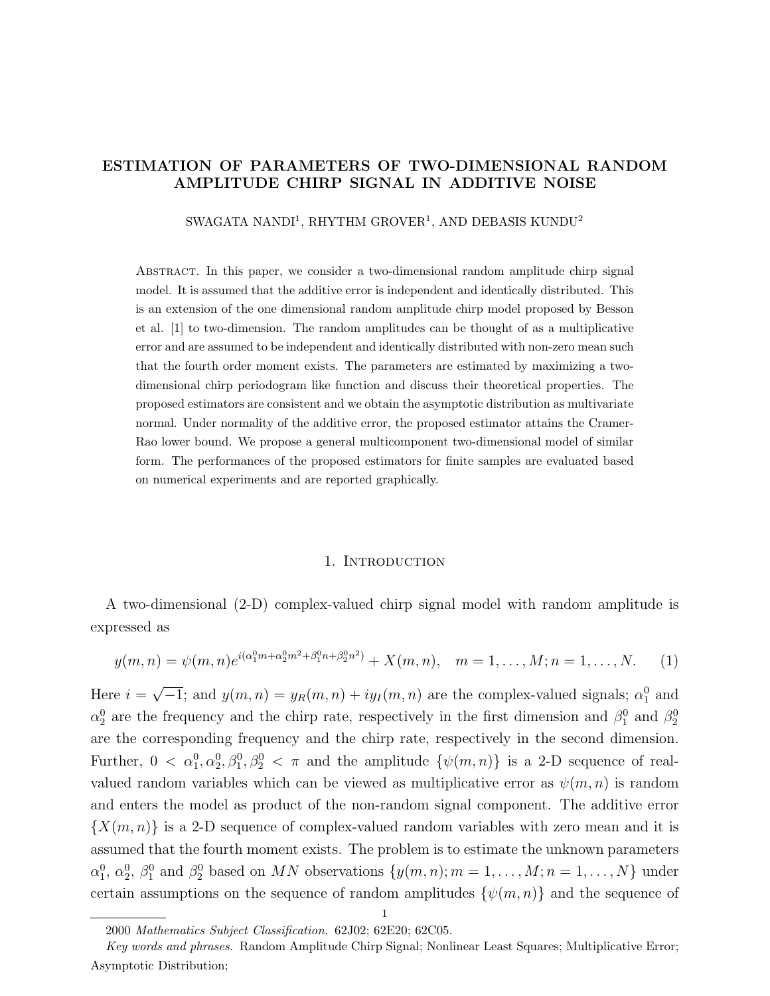# ESTIMATION OF PARAMETERS OF TWO-DIMENSIONAL RANDOM AMPLITUDE CHIRP SIGNAL IN ADDITIVE NOISE

SWAGATA NANDI<sup>1</sup>, RHYTHM GROVER<sup>1</sup>, AND DEBASIS KUNDU<sup>2</sup>

Abstract. In this paper, we consider a two-dimensional random amplitude chirp signal model. It is assumed that the additive error is independent and identically distributed. This is an extension of the one dimensional random amplitude chirp model proposed by Besson et al. [1] to two-dimension. The random amplitudes can be thought of as a multiplicative error and are assumed to be independent and identically distributed with non-zero mean such that the fourth order moment exists. The parameters are estimated by maximizing a twodimensional chirp periodogram like function and discuss their theoretical properties. The proposed estimators are consistent and we obtain the asymptotic distribution as multivariate normal. Under normality of the additive error, the proposed estimator attains the Cramer-Rao lower bound. We propose a general multicomponent two-dimensional model of similar form. The performances of the proposed estimators for finite samples are evaluated based on numerical experiments and are reported graphically.

#### 1. INTRODUCTION

A two-dimensional (2-D) complex-valued chirp signal model with random amplitude is expressed as

$$
y(m,n) = \psi(m,n)e^{i(\alpha_1^0 m + \alpha_2^0 m^2 + \beta_1^0 n + \beta_2^0 n^2)} + X(m,n), \quad m = 1, \dots, M; n = 1, \dots, N.
$$
 (1)

Here  $i =$ √  $\overline{-1}$ ; and  $y(m,n) = y_R(m,n) + iy_I(m,n)$  are the complex-valued signals;  $\alpha_1^0$  and  $\alpha_2^0$  are the frequency and the chirp rate, respectively in the first dimension and  $\beta_1^0$  and  $\beta_2^0$ are the corresponding frequency and the chirp rate, respectively in the second dimension. Further,  $0 < \alpha_1^0, \alpha_2^0, \beta_1^0, \beta_2^0 < \pi$  and the amplitude  $\{\psi(m,n)\}\$ is a 2-D sequence of realvalued random variables which can be viewed as multiplicative error as  $\psi(m, n)$  is random and enters the model as product of the non-random signal component. The additive error  $\{X(m,n)\}\$ is a 2-D sequence of complex-valued random variables with zero mean and it is assumed that the fourth moment exists. The problem is to estimate the unknown parameters  $\alpha_1^0, \alpha_2^0, \beta_1^0$  and  $\beta_2^0$  based on MN observations  $\{y(m,n); m = 1, \ldots, M; n = 1, \ldots, N\}$  under certain assumptions on the sequence of random amplitudes  $\{\psi(m, n)\}\$  and the sequence of

1

<sup>2000</sup> Mathematics Subject Classification. 62J02; 62E20; 62C05.

Key words and phrases. Random Amplitude Chirp Signal; Nonlinear Least Squares; Multiplicative Error; Asymptotic Distribution;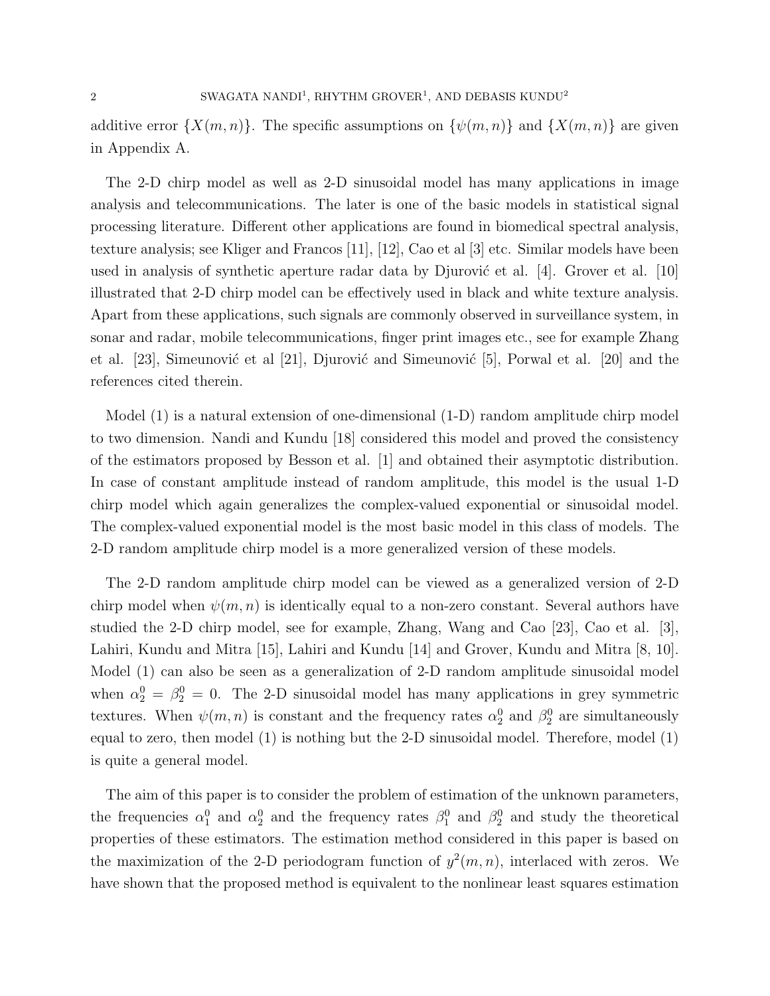additive error  $\{X(m,n)\}\$ . The specific assumptions on  $\{\psi(m,n)\}\$  and  $\{X(m,n)\}\$  are given in Appendix A.

The 2-D chirp model as well as 2-D sinusoidal model has many applications in image analysis and telecommunications. The later is one of the basic models in statistical signal processing literature. Different other applications are found in biomedical spectral analysis, texture analysis; see Kliger and Francos [11], [12], Cao et al [3] etc. Similar models have been used in analysis of synthetic aperture radar data by Djurović et al.  $[4]$ . Grover et al.  $[10]$ illustrated that 2-D chirp model can be effectively used in black and white texture analysis. Apart from these applications, such signals are commonly observed in surveillance system, in sonar and radar, mobile telecommunications, finger print images etc., see for example Zhang et al.  $[23]$ , Simeunović et al  $[21]$ , Djurović and Simeunović  $[5]$ , Porwal et al.  $[20]$  and the references cited therein.

Model (1) is a natural extension of one-dimensional (1-D) random amplitude chirp model to two dimension. Nandi and Kundu [18] considered this model and proved the consistency of the estimators proposed by Besson et al. [1] and obtained their asymptotic distribution. In case of constant amplitude instead of random amplitude, this model is the usual 1-D chirp model which again generalizes the complex-valued exponential or sinusoidal model. The complex-valued exponential model is the most basic model in this class of models. The 2-D random amplitude chirp model is a more generalized version of these models.

The 2-D random amplitude chirp model can be viewed as a generalized version of 2-D chirp model when  $\psi(m, n)$  is identically equal to a non-zero constant. Several authors have studied the 2-D chirp model, see for example, Zhang, Wang and Cao [23], Cao et al. [3], Lahiri, Kundu and Mitra [15], Lahiri and Kundu [14] and Grover, Kundu and Mitra [8, 10]. Model (1) can also be seen as a generalization of 2-D random amplitude sinusoidal model when  $\alpha_2^0 = \beta_2^0 = 0$ . The 2-D sinusoidal model has many applications in grey symmetric textures. When  $\psi(m,n)$  is constant and the frequency rates  $\alpha_2^0$  and  $\beta_2^0$  are simultaneously equal to zero, then model (1) is nothing but the 2-D sinusoidal model. Therefore, model (1) is quite a general model.

The aim of this paper is to consider the problem of estimation of the unknown parameters, the frequencies  $\alpha_1^0$  and  $\alpha_2^0$  and the frequency rates  $\beta_1^0$  and  $\beta_2^0$  and study the theoretical properties of these estimators. The estimation method considered in this paper is based on the maximization of the 2-D periodogram function of  $y^2(m, n)$ , interlaced with zeros. We have shown that the proposed method is equivalent to the nonlinear least squares estimation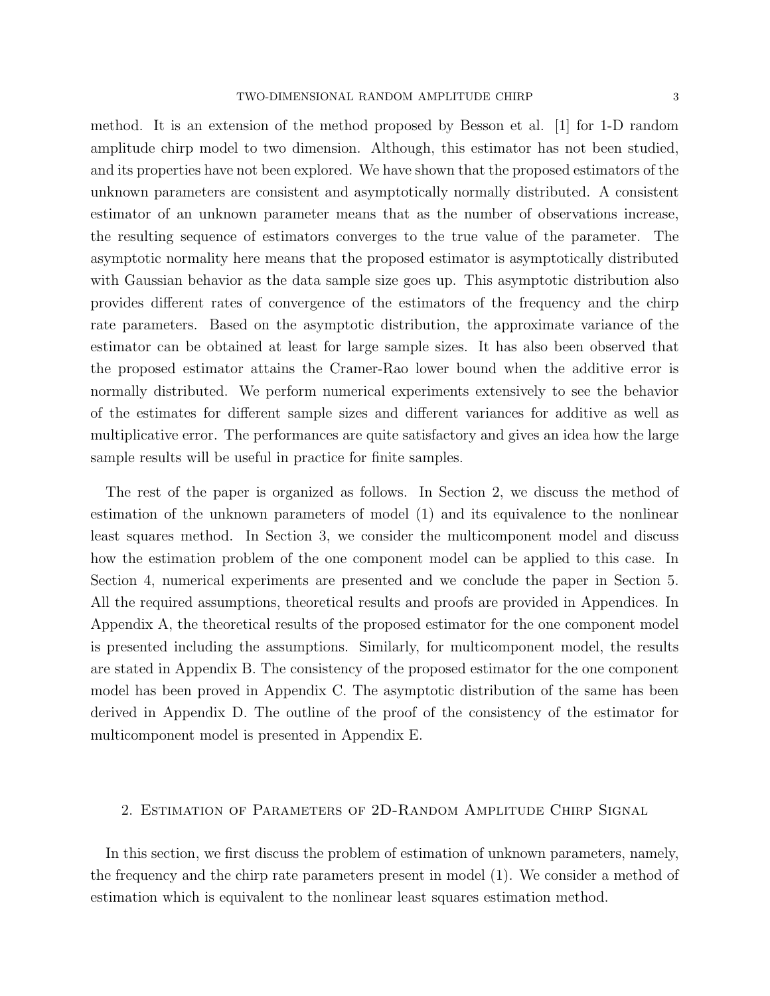method. It is an extension of the method proposed by Besson et al. [1] for 1-D random amplitude chirp model to two dimension. Although, this estimator has not been studied, and its properties have not been explored. We have shown that the proposed estimators of the unknown parameters are consistent and asymptotically normally distributed. A consistent estimator of an unknown parameter means that as the number of observations increase, the resulting sequence of estimators converges to the true value of the parameter. The asymptotic normality here means that the proposed estimator is asymptotically distributed with Gaussian behavior as the data sample size goes up. This asymptotic distribution also provides different rates of convergence of the estimators of the frequency and the chirp rate parameters. Based on the asymptotic distribution, the approximate variance of the estimator can be obtained at least for large sample sizes. It has also been observed that the proposed estimator attains the Cramer-Rao lower bound when the additive error is normally distributed. We perform numerical experiments extensively to see the behavior of the estimates for different sample sizes and different variances for additive as well as multiplicative error. The performances are quite satisfactory and gives an idea how the large sample results will be useful in practice for finite samples.

The rest of the paper is organized as follows. In Section 2, we discuss the method of estimation of the unknown parameters of model (1) and its equivalence to the nonlinear least squares method. In Section 3, we consider the multicomponent model and discuss how the estimation problem of the one component model can be applied to this case. In Section 4, numerical experiments are presented and we conclude the paper in Section 5. All the required assumptions, theoretical results and proofs are provided in Appendices. In Appendix A, the theoretical results of the proposed estimator for the one component model is presented including the assumptions. Similarly, for multicomponent model, the results are stated in Appendix B. The consistency of the proposed estimator for the one component model has been proved in Appendix C. The asymptotic distribution of the same has been derived in Appendix D. The outline of the proof of the consistency of the estimator for multicomponent model is presented in Appendix E.

## 2. Estimation of Parameters of 2D-Random Amplitude Chirp Signal

In this section, we first discuss the problem of estimation of unknown parameters, namely, the frequency and the chirp rate parameters present in model (1). We consider a method of estimation which is equivalent to the nonlinear least squares estimation method.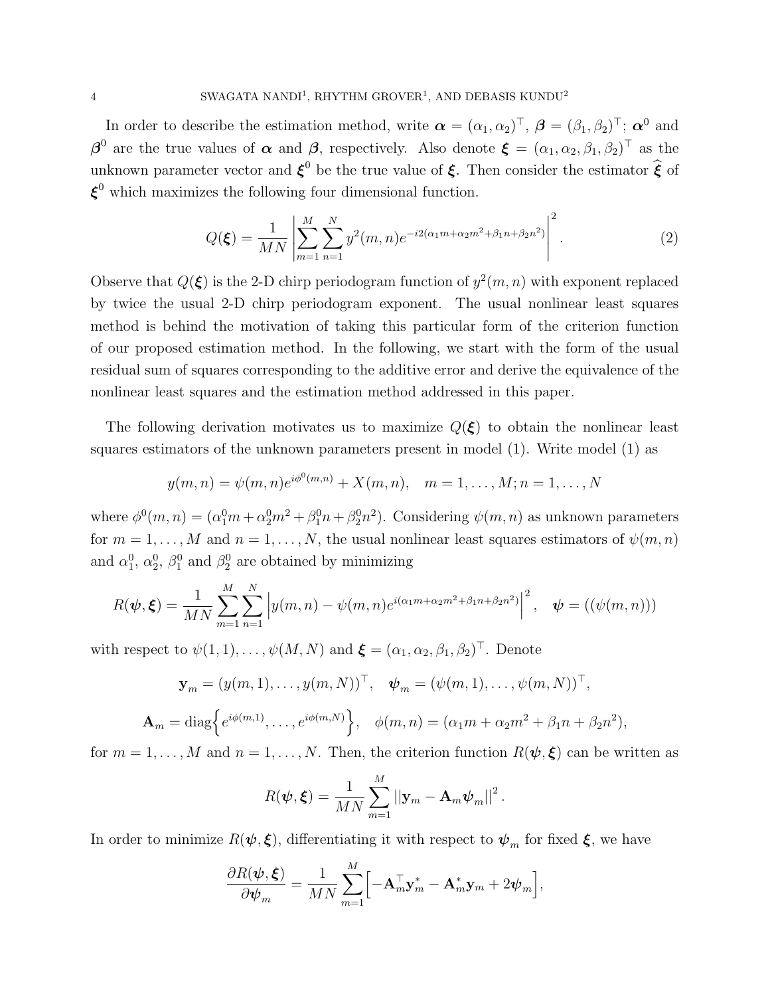In order to describe the estimation method, write  $\boldsymbol{\alpha} = (\alpha_1, \alpha_2)^\top, \ \boldsymbol{\beta} = (\beta_1, \beta_2)^\top; \ \boldsymbol{\alpha}^0$  and  $\boldsymbol{\beta}^0$  are the true values of  $\boldsymbol{\alpha}$  and  $\boldsymbol{\beta}$ , respectively. Also denote  $\boldsymbol{\xi} = (\alpha_1, \alpha_2, \beta_1, \beta_2)^\top$  as the unknown parameter vector and  $\xi^0$  be the true value of  $\xi$ . Then consider the estimator  $\hat{\xi}$  of  $\xi^0$  which maximizes the following four dimensional function.

$$
Q(\boldsymbol{\xi}) = \frac{1}{MN} \left| \sum_{m=1}^{M} \sum_{n=1}^{N} y^2(m, n) e^{-i2(\alpha_1 m + \alpha_2 m^2 + \beta_1 n + \beta_2 n^2)} \right|^2.
$$
 (2)

Observe that  $Q(\xi)$  is the 2-D chirp periodogram function of  $y^2(m, n)$  with exponent replaced by twice the usual 2-D chirp periodogram exponent. The usual nonlinear least squares method is behind the motivation of taking this particular form of the criterion function of our proposed estimation method. In the following, we start with the form of the usual residual sum of squares corresponding to the additive error and derive the equivalence of the nonlinear least squares and the estimation method addressed in this paper.

The following derivation motivates us to maximize  $Q(\xi)$  to obtain the nonlinear least squares estimators of the unknown parameters present in model (1). Write model (1) as

$$
y(m, n) = \psi(m, n)e^{i\phi^0(m,n)} + X(m, n), \quad m = 1, ..., M; n = 1, ..., N
$$

where  $\phi^0(m,n) = (\alpha_1^0 m + \alpha_2^0 m^2 + \beta_1^0 n + \beta_2^0 n^2)$ . Considering  $\psi(m,n)$  as unknown parameters for  $m = 1, ..., M$  and  $n = 1, ..., N$ , the usual nonlinear least squares estimators of  $\psi(m, n)$ and  $\alpha_1^0$ ,  $\alpha_2^0$ ,  $\beta_1^0$  and  $\beta_2^0$  are obtained by minimizing

$$
R(\boldsymbol{\psi}, \boldsymbol{\xi}) = \frac{1}{MN} \sum_{m=1}^{M} \sum_{n=1}^{N} \left| y(m, n) - \psi(m, n) e^{i(\alpha_1 m + \alpha_2 m^2 + \beta_1 n + \beta_2 n^2)} \right|^2, \quad \boldsymbol{\psi} = ((\psi(m, n)))
$$

with respect to  $\psi(1,1), \ldots, \psi(M,N)$  and  $\boldsymbol{\xi} = (\alpha_1, \alpha_2, \beta_1, \beta_2)^\top$ . Denote

$$
\mathbf{y}_m = (y(m, 1), \dots, y(m, N))^{\top}, \quad \boldsymbol{\psi}_m = (\psi(m, 1), \dots, \psi(m, N))^{\top},
$$

$$
\mathbf{A}_m = \text{diag}\Big\{e^{i\phi(m, 1)}, \dots, e^{i\phi(m, N)}\Big\}, \quad \phi(m, n) = (\alpha_1 m + \alpha_2 m^2 + \beta_1 n + \beta_2 n^2),
$$

for  $m = 1, ..., M$  and  $n = 1, ..., N$ . Then, the criterion function  $R(\psi, \xi)$  can be written as

$$
R(\boldsymbol{\psi}, \boldsymbol{\xi}) = \frac{1}{MN} \sum_{m=1}^{M} ||\mathbf{y}_m - \mathbf{A}_m \boldsymbol{\psi}_m||^2.
$$

In order to minimize  $R(\psi, \xi)$ , differentiating it with respect to  $\psi_m$  for fixed  $\xi$ , we have

$$
\frac{\partial R(\boldsymbol{\psi}, \boldsymbol{\xi})}{\partial \boldsymbol{\psi}_m} = \frac{1}{MN} \sum_{m=1}^M \Bigl[ -\mathbf{A}_m^{\top} \mathbf{y}_m^* - \mathbf{A}_m^* \mathbf{y}_m + 2 \boldsymbol{\psi}_m \Bigr],
$$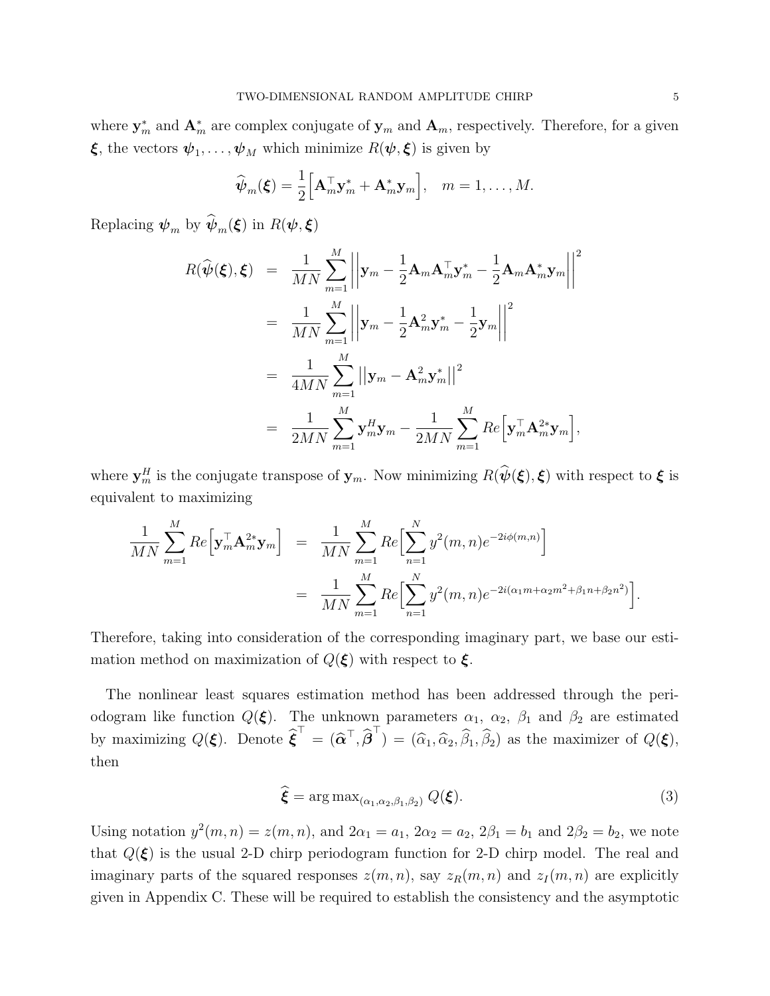where  $y_m^*$  and  $A_m^*$  are complex conjugate of  $y_m$  and  $A_m$ , respectively. Therefore, for a given **ξ**, the vectors  $\psi_1, \ldots, \psi_M$  which minimize  $R(\psi, \xi)$  is given by

$$
\widehat{\boldsymbol{\psi}}_m(\boldsymbol{\xi}) = \frac{1}{2} \Big[ \mathbf{A}_m^{\top} \mathbf{y}_m^* + \mathbf{A}_m^* \mathbf{y}_m \Big], \quad m = 1, \dots, M.
$$

Replacing  $\psi_m$  by  $\psi_m(\boldsymbol{\xi})$  in  $R(\boldsymbol{\psi}, \boldsymbol{\xi})$ 

$$
R(\widehat{\psi}(\xi), \xi) = \frac{1}{MN} \sum_{m=1}^{M} \left| \left| \mathbf{y}_{m} - \frac{1}{2} \mathbf{A}_{m} \mathbf{A}_{m}^{\top} \mathbf{y}_{m}^{*} - \frac{1}{2} \mathbf{A}_{m} \mathbf{A}_{m}^{*} \mathbf{y}_{m} \right| \right|^{2}
$$
  
\n
$$
= \frac{1}{MN} \sum_{m=1}^{M} \left| \left| \mathbf{y}_{m} - \frac{1}{2} \mathbf{A}_{m}^{2} \mathbf{y}_{m}^{*} - \frac{1}{2} \mathbf{y}_{m} \right| \right|^{2}
$$
  
\n
$$
= \frac{1}{4MN} \sum_{m=1}^{M} \left| \left| \mathbf{y}_{m} - \mathbf{A}_{m}^{2} \mathbf{y}_{m}^{*} \right| \right|^{2}
$$
  
\n
$$
= \frac{1}{2MN} \sum_{m=1}^{M} \mathbf{y}_{m}^{H} \mathbf{y}_{m} - \frac{1}{2MN} \sum_{m=1}^{M} Re \left[ \mathbf{y}_{m}^{\top} \mathbf{A}_{m}^{2*} \mathbf{y}_{m} \right],
$$

where  $y_m^H$  is the conjugate transpose of  $y_m$ . Now minimizing  $R(\hat{\psi}(\xi), \xi)$  with respect to  $\xi$  is equivalent to maximizing

$$
\frac{1}{MN} \sum_{m=1}^{M} Re\Big[\mathbf{y}_{m}^{\top} \mathbf{A}_{m}^{2*} \mathbf{y}_{m}\Big] = \frac{1}{MN} \sum_{m=1}^{M} Re\Big[\sum_{n=1}^{N} y^{2}(m, n) e^{-2i\phi(m, n)}\Big]
$$
  

$$
= \frac{1}{MN} \sum_{m=1}^{M} Re\Big[\sum_{n=1}^{N} y^{2}(m, n) e^{-2i(\alpha_{1}m + \alpha_{2}m^{2} + \beta_{1}n + \beta_{2}n^{2})}\Big].
$$

Therefore, taking into consideration of the corresponding imaginary part, we base our estimation method on maximization of  $Q(\xi)$  with respect to  $\xi$ .

The nonlinear least squares estimation method has been addressed through the periodogram like function  $Q(\xi)$ . The unknown parameters  $\alpha_1$ ,  $\alpha_2$ ,  $\beta_1$  and  $\beta_2$  are estimated by maximizing  $Q(\boldsymbol{\xi})$ . Denote  $\widehat{\boldsymbol{\xi}}^{\top} = (\widehat{\boldsymbol{\alpha}}^{\top}, \widehat{\boldsymbol{\beta}}^{\top}) = (\widehat{\alpha}_1, \widehat{\alpha}_2, \widehat{\beta}_1, \widehat{\beta}_2)$  as the maximizer of  $Q(\boldsymbol{\xi})$ , then

$$
\boldsymbol{\xi} = \arg \max_{(\alpha_1, \alpha_2, \beta_1, \beta_2)} Q(\boldsymbol{\xi}). \tag{3}
$$

Using notation  $y^2(m, n) = z(m, n)$ , and  $2\alpha_1 = a_1$ ,  $2\alpha_2 = a_2$ ,  $2\beta_1 = b_1$  and  $2\beta_2 = b_2$ , we note that  $Q(\xi)$  is the usual 2-D chirp periodogram function for 2-D chirp model. The real and imaginary parts of the squared responses  $z(m, n)$ , say  $z_R(m, n)$  and  $z_I(m, n)$  are explicitly given in Appendix C. These will be required to establish the consistency and the asymptotic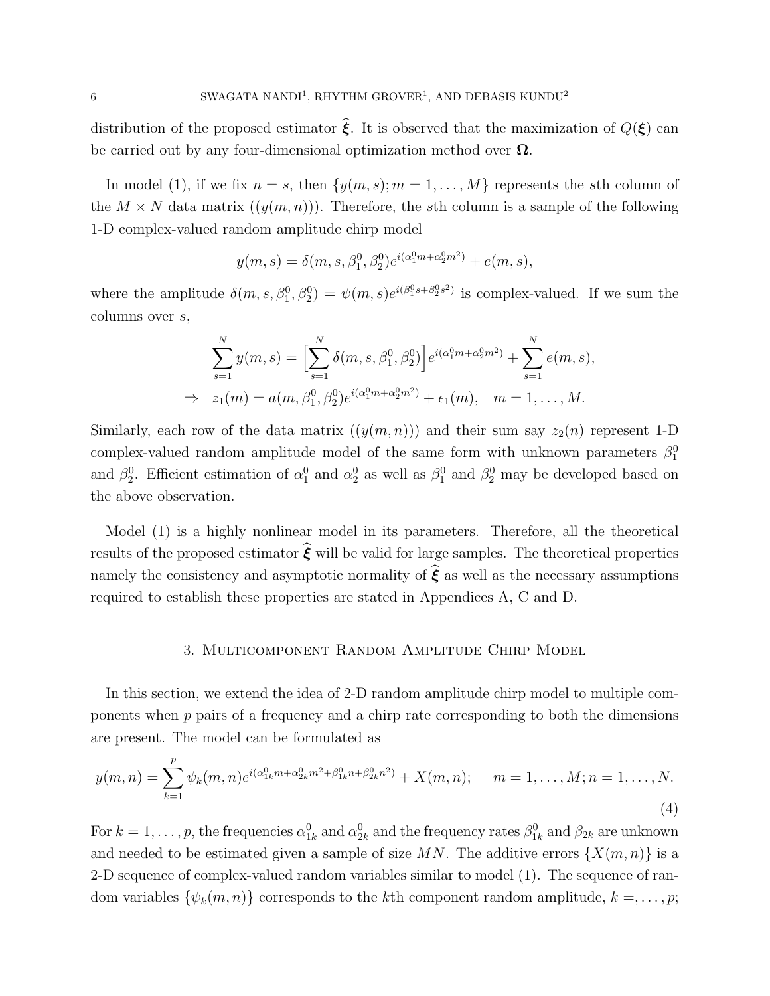distribution of the proposed estimator  $\hat{\xi}$ . It is observed that the maximization of  $Q(\xi)$  can be carried out by any four-dimensional optimization method over  $\Omega$ .

In model (1), if we fix  $n = s$ , then  $\{y(m, s); m = 1, \ldots, M\}$  represents the sth column of the  $M \times N$  data matrix  $((y(m, n)))$ . Therefore, the sth column is a sample of the following 1-D complex-valued random amplitude chirp model

$$
y(m, s) = \delta(m, s, \beta_1^0, \beta_2^0) e^{i(\alpha_1^0 m + \alpha_2^0 m^2)} + e(m, s),
$$

where the amplitude  $\delta(m, s, \beta_1^0, \beta_2^0) = \psi(m, s)e^{i(\beta_1^0 s + \beta_2^0 s^2)}$  is complex-valued. If we sum the columns over s,

$$
\sum_{s=1}^{N} y(m, s) = \left[ \sum_{s=1}^{N} \delta(m, s, \beta_1^0, \beta_2^0) \right] e^{i(\alpha_1^0 m + \alpha_2^0 m^2)} + \sum_{s=1}^{N} e(m, s),
$$
  
\n
$$
\Rightarrow z_1(m) = a(m, \beta_1^0, \beta_2^0) e^{i(\alpha_1^0 m + \alpha_2^0 m^2)} + \epsilon_1(m), \quad m = 1, ..., M.
$$

Similarly, each row of the data matrix  $((y(m, n)))$  and their sum say  $z_2(n)$  represent 1-D complex-valued random amplitude model of the same form with unknown parameters  $\beta_1^0$ and  $\beta_2^0$ . Efficient estimation of  $\alpha_1^0$  and  $\alpha_2^0$  as well as  $\beta_1^0$  and  $\beta_2^0$  may be developed based on the above observation.

Model (1) is a highly nonlinear model in its parameters. Therefore, all the theoretical results of the proposed estimator  $\hat{\boldsymbol{\xi}}$  will be valid for large samples. The theoretical properties namely the consistency and asymptotic normality of  $\hat{\boldsymbol{\xi}}$  as well as the necessary assumptions required to establish these properties are stated in Appendices A, C and D.

## 3. Multicomponent Random Amplitude Chirp Model

In this section, we extend the idea of 2-D random amplitude chirp model to multiple components when  $p$  pairs of a frequency and a chirp rate corresponding to both the dimensions are present. The model can be formulated as

$$
y(m,n) = \sum_{k=1}^{p} \psi_k(m,n) e^{i(\alpha_{1k}^0 m + \alpha_{2k}^0 m^2 + \beta_{1k}^0 n + \beta_{2k}^0 n^2)} + X(m,n); \quad m = 1, \dots, M; n = 1, \dots, N.
$$
\n(4)

For  $k = 1, \ldots, p$ , the frequencies  $\alpha_{1k}^0$  and  $\alpha_{2k}^0$  and the frequency rates  $\beta_{1k}^0$  and  $\beta_{2k}$  are unknown and needed to be estimated given a sample of size MN. The additive errors  $\{X(m,n)\}\$ is a 2-D sequence of complex-valued random variables similar to model (1). The sequence of random variables  $\{\psi_k(m,n)\}$  corresponds to the kth component random amplitude,  $k = \ldots, p;$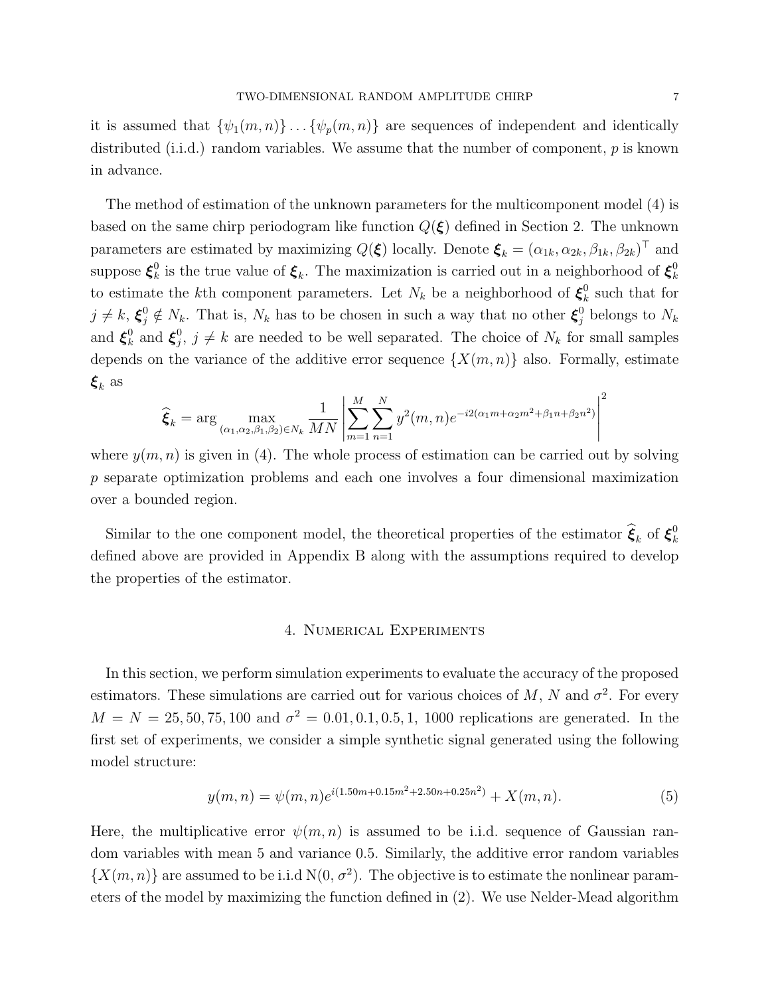it is assumed that  $\{\psi_1(m,n)\}\dots\{\psi_p(m,n)\}\$  are sequences of independent and identically distributed (i.i.d.) random variables. We assume that the number of component,  $p$  is known in advance.

The method of estimation of the unknown parameters for the multicomponent model (4) is based on the same chirp periodogram like function  $Q(\xi)$  defined in Section 2. The unknown parameters are estimated by maximizing  $Q(\xi)$  locally. Denote  $\xi_k = (\alpha_{1k}, \alpha_{2k}, \beta_{1k}, \beta_{2k})^\top$  and suppose  $\boldsymbol{\xi}_k^0$ <sup>0</sup><sub>k</sub> is the true value of  $\xi_k$ . The maximization is carried out in a neighborhood of  $\xi_k^0$ k to estimate the k<sup>th</sup> component parameters. Let  $N_k$  be a neighborhood of  $\xi_k^0$  $\frac{0}{k}$  such that for  $j \neq k$ ,  $\xi_j^0 \notin N_k$ . That is,  $N_k$  has to be chosen in such a way that no other  $\xi_j^0$  belongs to  $N_k$ and  $\boldsymbol{\xi}_k^0$  $\mathcal{E}_k^0$  and  $\boldsymbol{\xi}_j^0$  $j, j \neq k$  are needed to be well separated. The choice of  $N_k$  for small samples depends on the variance of the additive error sequence  $\{X(m,n)\}\$  also. Formally, estimate  $\xi_k$  as

$$
\hat{\xi}_k = \arg \max_{(\alpha_1, \alpha_2, \beta_1, \beta_2) \in N_k} \frac{1}{MN} \left| \sum_{m=1}^M \sum_{n=1}^N y^2(m, n) e^{-i2(\alpha_1 m + \alpha_2 m^2 + \beta_1 n + \beta_2 n^2)} \right|^2
$$

where  $y(m, n)$  is given in (4). The whole process of estimation can be carried out by solving p separate optimization problems and each one involves a four dimensional maximization over a bounded region.

Similar to the one component model, the theoretical properties of the estimator  $\hat{\xi}_k$  of  $\xi_k^0$ k defined above are provided in Appendix B along with the assumptions required to develop the properties of the estimator.

### 4. Numerical Experiments

In this section, we perform simulation experiments to evaluate the accuracy of the proposed estimators. These simulations are carried out for various choices of M, N and  $\sigma^2$ . For every  $M = N = 25, 50, 75, 100$  and  $\sigma^2 = 0.01, 0.1, 0.5, 1, 1000$  replications are generated. In the first set of experiments, we consider a simple synthetic signal generated using the following model structure:

$$
y(m,n) = \psi(m,n)e^{i(1.50m+0.15m^2+2.50n+0.25n^2)} + X(m,n).
$$
 (5)

Here, the multiplicative error  $\psi(m, n)$  is assumed to be i.i.d. sequence of Gaussian random variables with mean 5 and variance 0.5. Similarly, the additive error random variables  $\{X(m,n)\}\$ are assumed to be i.i.d  $N(0, \sigma^2)$ . The objective is to estimate the nonlinear parameters of the model by maximizing the function defined in (2). We use Nelder-Mead algorithm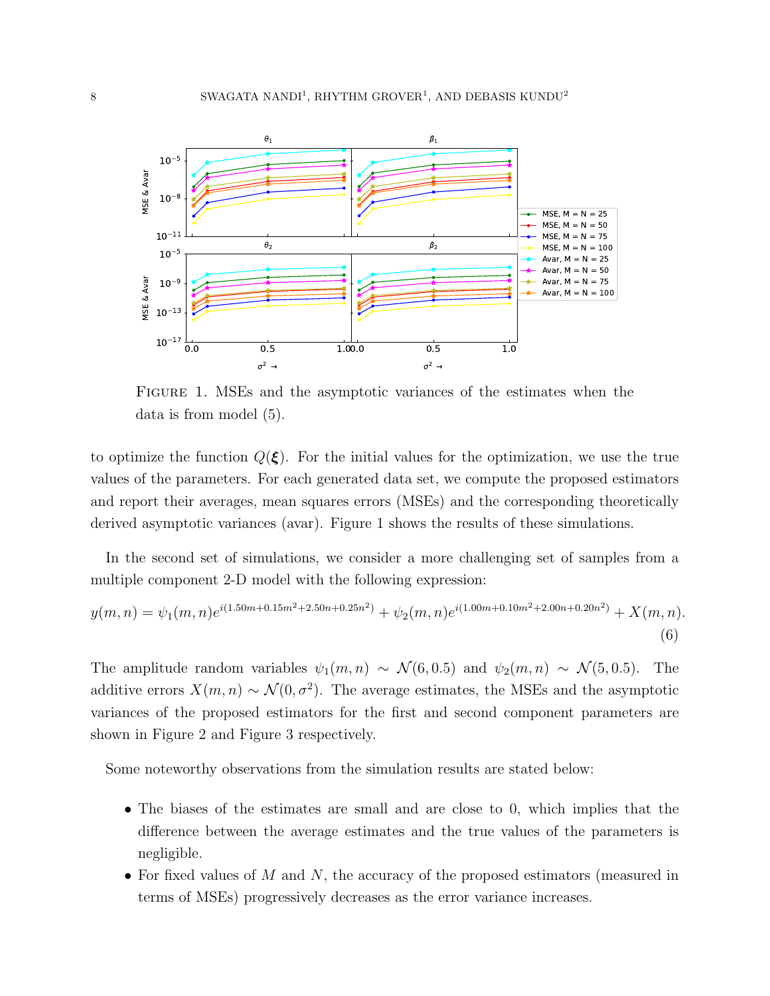

Figure 1. MSEs and the asymptotic variances of the estimates when the data is from model (5).

to optimize the function  $Q(\xi)$ . For the initial values for the optimization, we use the true values of the parameters. For each generated data set, we compute the proposed estimators and report their averages, mean squares errors (MSEs) and the corresponding theoretically derived asymptotic variances (avar). Figure 1 shows the results of these simulations.

In the second set of simulations, we consider a more challenging set of samples from a multiple component 2-D model with the following expression:

$$
y(m,n) = \psi_1(m,n)e^{i(1.50m+0.15m^2+2.50n+0.25n^2)} + \psi_2(m,n)e^{i(1.00m+0.10m^2+2.00n+0.20n^2)} + X(m,n).
$$
\n(6)

The amplitude random variables  $\psi_1(m,n) \sim \mathcal{N}(6, 0.5)$  and  $\psi_2(m,n) \sim \mathcal{N}(5, 0.5)$ . The additive errors  $X(m, n) \sim \mathcal{N}(0, \sigma^2)$ . The average estimates, the MSEs and the asymptotic variances of the proposed estimators for the first and second component parameters are shown in Figure 2 and Figure 3 respectively.

Some noteworthy observations from the simulation results are stated below:

- The biases of the estimates are small and are close to 0, which implies that the difference between the average estimates and the true values of the parameters is negligible.
- For fixed values of  $M$  and  $N$ , the accuracy of the proposed estimators (measured in terms of MSEs) progressively decreases as the error variance increases.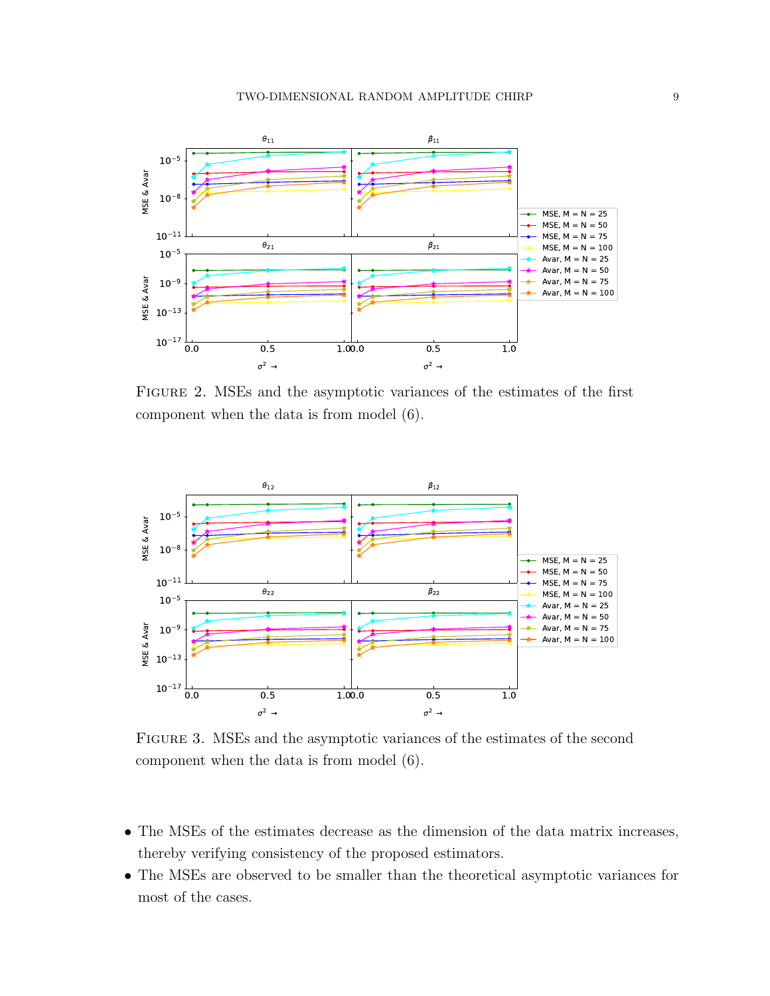

Figure 2. MSEs and the asymptotic variances of the estimates of the first component when the data is from model (6).



Figure 3. MSEs and the asymptotic variances of the estimates of the second component when the data is from model (6).

- The MSEs of the estimates decrease as the dimension of the data matrix increases, thereby verifying consistency of the proposed estimators.
- The MSEs are observed to be smaller than the theoretical asymptotic variances for most of the cases.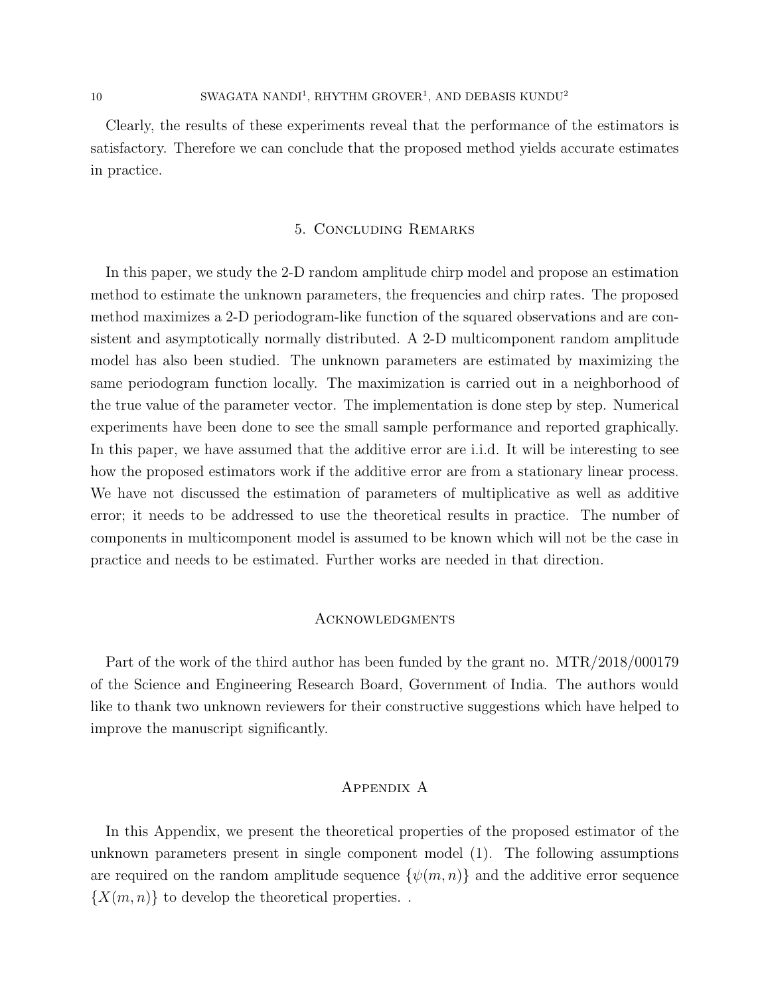Clearly, the results of these experiments reveal that the performance of the estimators is satisfactory. Therefore we can conclude that the proposed method yields accurate estimates in practice.

#### 5. Concluding Remarks

In this paper, we study the 2-D random amplitude chirp model and propose an estimation method to estimate the unknown parameters, the frequencies and chirp rates. The proposed method maximizes a 2-D periodogram-like function of the squared observations and are consistent and asymptotically normally distributed. A 2-D multicomponent random amplitude model has also been studied. The unknown parameters are estimated by maximizing the same periodogram function locally. The maximization is carried out in a neighborhood of the true value of the parameter vector. The implementation is done step by step. Numerical experiments have been done to see the small sample performance and reported graphically. In this paper, we have assumed that the additive error are i.i.d. It will be interesting to see how the proposed estimators work if the additive error are from a stationary linear process. We have not discussed the estimation of parameters of multiplicative as well as additive error; it needs to be addressed to use the theoretical results in practice. The number of components in multicomponent model is assumed to be known which will not be the case in practice and needs to be estimated. Further works are needed in that direction.

#### **ACKNOWLEDGMENTS**

Part of the work of the third author has been funded by the grant no. MTR/2018/000179 of the Science and Engineering Research Board, Government of India. The authors would like to thank two unknown reviewers for their constructive suggestions which have helped to improve the manuscript significantly.

### Appendix A

In this Appendix, we present the theoretical properties of the proposed estimator of the unknown parameters present in single component model (1). The following assumptions are required on the random amplitude sequence  $\{\psi(m, n)\}\$  and the additive error sequence  $\{X(m,n)\}\)$  to develop the theoretical properties.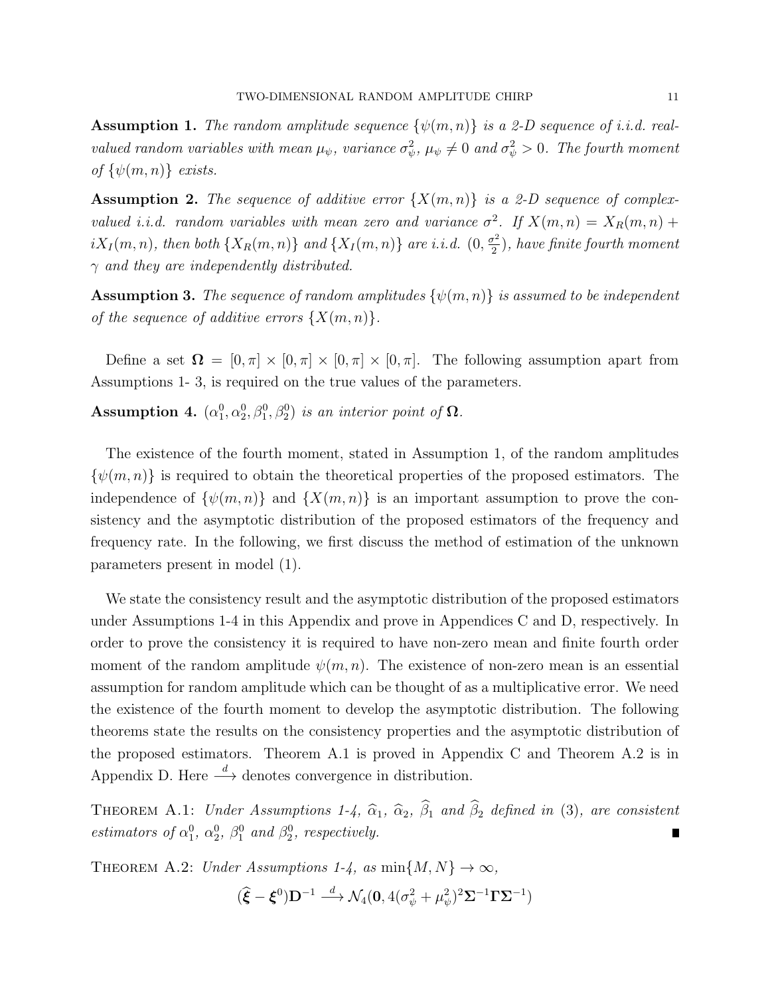**Assumption 1.** The random amplitude sequence  $\{\psi(m,n)\}\$ is a 2-D sequence of i.i.d. realvalued random variables with mean  $\mu_{\psi}$ , variance  $\sigma_{\psi}^2$ ,  $\mu_{\psi} \neq 0$  and  $\sigma_{\psi}^2 > 0$ . The fourth moment of  $\{\psi(m, n)\}\; exists.$ 

**Assumption 2.** The sequence of additive error  $\{X(m,n)\}\$ is a 2-D sequence of complexvalued i.i.d. random variables with mean zero and variance  $\sigma^2$ . If  $X(m,n) = X_R(m,n) +$  $iX_I(m,n)$ , then both  $\{X_R(m,n)\}\$ and  $\{X_I(m,n)\}\$ are i.i.d.  $(0,\frac{\sigma^2}{2})$  $(\frac{r^2}{2})$ , have finite fourth moment  $\gamma$  and they are independently distributed.

**Assumption 3.** The sequence of random amplitudes  $\{\psi(m,n)\}\$ is assumed to be independent of the sequence of additive errors  $\{X(m,n)\}.$ 

Define a set  $\Omega = [0, \pi] \times [0, \pi] \times [0, \pi] \times [0, \pi]$ . The following assumption apart from Assumptions 1- 3, is required on the true values of the parameters.

Assumption 4.  $(\alpha_1^0, \alpha_2^0, \beta_1^0, \beta_2^0)$  is an interior point of  $\Omega$ .

The existence of the fourth moment, stated in Assumption 1, of the random amplitudes  $\{\psi(m,n)\}\$ is required to obtain the theoretical properties of the proposed estimators. The independence of  $\{\psi(m,n)\}\$ and  $\{X(m,n)\}\$ is an important assumption to prove the consistency and the asymptotic distribution of the proposed estimators of the frequency and frequency rate. In the following, we first discuss the method of estimation of the unknown parameters present in model (1).

We state the consistency result and the asymptotic distribution of the proposed estimators under Assumptions 1-4 in this Appendix and prove in Appendices C and D, respectively. In order to prove the consistency it is required to have non-zero mean and finite fourth order moment of the random amplitude  $\psi(m, n)$ . The existence of non-zero mean is an essential assumption for random amplitude which can be thought of as a multiplicative error. We need the existence of the fourth moment to develop the asymptotic distribution. The following theorems state the results on the consistency properties and the asymptotic distribution of the proposed estimators. Theorem A.1 is proved in Appendix C and Theorem A.2 is in Appendix D. Here  $\stackrel{d}{\longrightarrow}$  denotes convergence in distribution.

THEOREM A.1: Under Assumptions 1-4,  $\hat{\alpha}_1$ ,  $\hat{\alpha}_2$ ,  $\hat{\beta}_1$  and  $\hat{\beta}_2$  defined in (3), are consistent estimators of  $\alpha_1^0$ ,  $\alpha_2^0$ ,  $\beta_1^0$  and  $\beta_2^0$ , respectively.

THEOREM A.2: Under Assumptions 1-4, as  $\min\{M, N\} \to \infty$ ,

$$
(\widehat{\boldsymbol{\xi}} - \boldsymbol{\xi}^0) \mathbf{D}^{-1} \stackrel{d}{\longrightarrow} \mathcal{N}_4(\mathbf{0}, 4(\sigma_{\psi}^2 + \mu_{\psi}^2)^2 \boldsymbol{\Sigma}^{-1} \boldsymbol{\Gamma} \boldsymbol{\Sigma}^{-1})
$$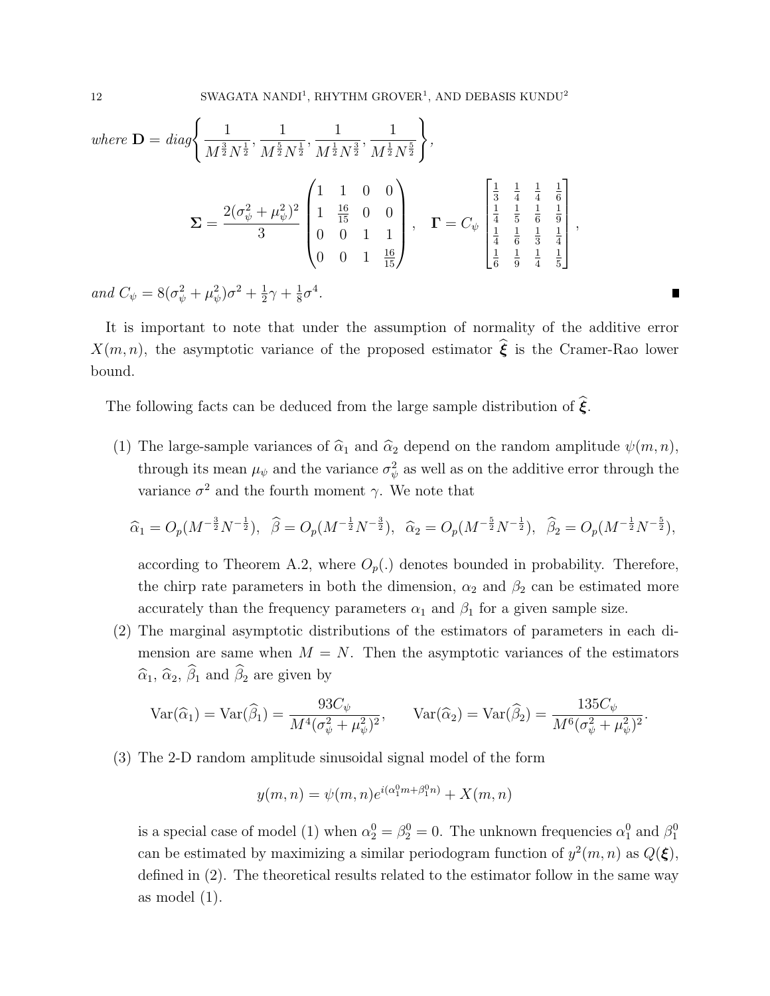where 
$$
\mathbf{D} = diag \left\{ \frac{1}{M^{\frac{3}{2}} N^{\frac{1}{2}}}, \frac{1}{M^{\frac{5}{2}} N^{\frac{1}{2}}}, \frac{1}{M^{\frac{1}{2}} N^{\frac{3}{2}}}, \frac{1}{M^{\frac{1}{2}} N^{\frac{5}{2}}} \right\},
$$
  
\n
$$
\Sigma = \frac{2(\sigma_{\psi}^2 + \mu_{\psi}^2)^2}{3} \begin{pmatrix} 1 & 1 & 0 & 0 \\ 1 & \frac{16}{15} & 0 & 0 \\ 0 & 0 & 1 & 1 \\ 0 & 0 & 1 & \frac{16}{15} \end{pmatrix}, \quad \mathbf{\Gamma} = C_{\psi} \begin{bmatrix} \frac{1}{3} & \frac{1}{4} & \frac{1}{4} & \frac{1}{6} \\ \frac{1}{4} & \frac{1}{5} & \frac{1}{6} & \frac{1}{9} \\ \frac{1}{4} & \frac{1}{6} & \frac{1}{3} & \frac{1}{4} \\ \frac{1}{6} & \frac{1}{9} & \frac{1}{4} & \frac{1}{5} \end{bmatrix},
$$

and  $C_{\psi} = 8(\sigma_{\psi}^2 + \mu_{\psi}^2)\sigma^2 + \frac{1}{2}$  $rac{1}{2}\gamma + \frac{1}{8}$  $rac{1}{8}\sigma^4$ .

It is important to note that under the assumption of normality of the additive error  $X(m, n)$ , the asymptotic variance of the proposed estimator  $\hat{\boldsymbol{\xi}}$  is the Cramer-Rao lower bound.

a ka

The following facts can be deduced from the large sample distribution of  $\hat{\xi}$ .

(1) The large-sample variances of  $\hat{\alpha}_1$  and  $\hat{\alpha}_2$  depend on the random amplitude  $\psi(m, n)$ , through its mean  $\mu_{\psi}$  and the variance  $\sigma_{\psi}^2$  as well as on the additive error through the variance  $\sigma^2$  and the fourth moment  $\gamma$ . We note that

$$
\widehat{\alpha}_1 = O_p(M^{-\frac{3}{2}}N^{-\frac{1}{2}}), \quad \widehat{\beta} = O_p(M^{-\frac{1}{2}}N^{-\frac{3}{2}}), \quad \widehat{\alpha}_2 = O_p(M^{-\frac{5}{2}}N^{-\frac{1}{2}}), \quad \widehat{\beta}_2 = O_p(M^{-\frac{1}{2}}N^{-\frac{5}{2}}),
$$

according to Theorem A.2, where  $O_p(.)$  denotes bounded in probability. Therefore, the chirp rate parameters in both the dimension,  $\alpha_2$  and  $\beta_2$  can be estimated more accurately than the frequency parameters  $\alpha_1$  and  $\beta_1$  for a given sample size.

(2) The marginal asymptotic distributions of the estimators of parameters in each dimension are same when  $M = N$ . Then the asymptotic variances of the estimators  $\widehat{\alpha}_1$ ,  $\widehat{\alpha}_2$ ,  $\widehat{\beta}_1$  and  $\widehat{\beta}_2$  are given by

$$
\operatorname{Var}(\widehat{\alpha}_1) = \operatorname{Var}(\widehat{\beta}_1) = \frac{93C_{\psi}}{M^4(\sigma_{\psi}^2 + \mu_{\psi}^2)^2}, \qquad \operatorname{Var}(\widehat{\alpha}_2) = \operatorname{Var}(\widehat{\beta}_2) = \frac{135C_{\psi}}{M^6(\sigma_{\psi}^2 + \mu_{\psi}^2)^2}.
$$

(3) The 2-D random amplitude sinusoidal signal model of the form

$$
y(m, n) = \psi(m, n)e^{i(\alpha_1^0 m + \beta_1^0 n)} + X(m, n)
$$

is a special case of model (1) when  $\alpha_2^0 = \beta_2^0 = 0$ . The unknown frequencies  $\alpha_1^0$  and  $\beta_1^0$ can be estimated by maximizing a similar periodogram function of  $y^2(m, n)$  as  $Q(\xi)$ , defined in (2). The theoretical results related to the estimator follow in the same way as model (1).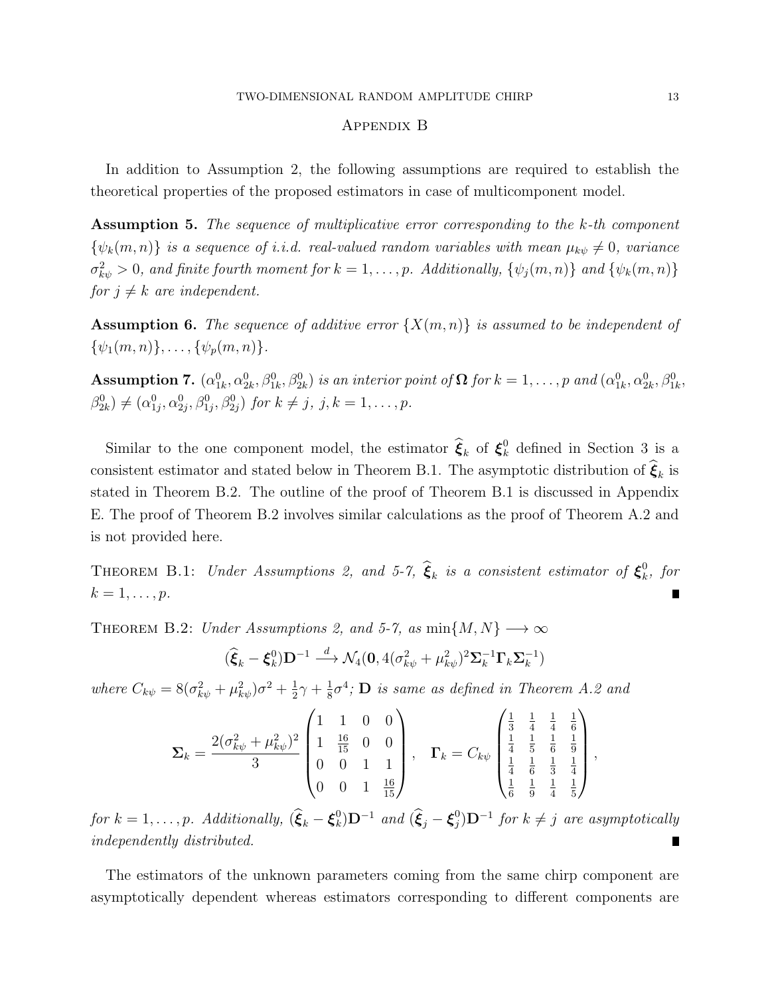#### Appendix B

In addition to Assumption 2, the following assumptions are required to establish the theoretical properties of the proposed estimators in case of multicomponent model.

Assumption 5. The sequence of multiplicative error corresponding to the k-th component  $\{\psi_k(m,n)\}\$ is a sequence of i.i.d. real-valued random variables with mean  $\mu_{k\psi} \neq 0$ , variance  $\sigma_{k\psi}^2 > 0$ , and finite fourth moment for  $k = 1, \ldots, p$ . Additionally,  $\{\psi_j(m,n)\}\$  and  $\{\psi_k(m,n)\}$ for  $j \neq k$  are independent.

**Assumption 6.** The sequence of additive error  $\{X(m,n)\}\$ is assumed to be independent of  $\{\psi_1(m, n)\}, \ldots, \{\psi_p(m, n)\}.$ 

Assumption 7.  $(\alpha_{1k}^0, \alpha_{2k}^0, \beta_{1k}^0, \beta_{2k}^0)$  is an interior point of  $\Omega$  for  $k = 1, \ldots, p$  and  $(\alpha_{1k}^0, \alpha_{2k}^0, \beta_{1k}^0, \beta_{2k}^0, \beta_{2k}^0)$  $\beta_{2k}^{0} \neq (\alpha_{1j}^{0}, \alpha_{2j}^{0}, \beta_{1j}^{0}, \beta_{2j}^{0})$  for  $k \neq j, j, k = 1, ..., p$ .

Similar to the one component model, the estimator  $\hat{\xi}_k$  of  $\xi_k^0$  defined in Section 3 is a consistent estimator and stated below in Theorem B.1. The asymptotic distribution of  $\xi_k$  is stated in Theorem B.2. The outline of the proof of Theorem B.1 is discussed in Appendix E. The proof of Theorem B.2 involves similar calculations as the proof of Theorem A.2 and is not provided here.

THEOREM B.1: Under Assumptions 2, and 5-7,  $\hat{\xi}_k$  is a consistent estimator of  $\xi_k^0$  $\int_k^0$ , for  $k=1,\ldots,p.$ 

THEOREM B.2: Under Assumptions 2, and 5-7, as  $min\{M, N\} \longrightarrow \infty$ 

$$
(\widehat{\boldsymbol{\xi}}_k - \boldsymbol{\xi}_k^0) \mathbf{D}^{-1} \stackrel{d}{\longrightarrow} \mathcal{N}_4(\mathbf{0}, 4(\sigma_{k\psi}^2 + \mu_{k\psi}^2)^2 \boldsymbol{\Sigma}_k^{-1} \boldsymbol{\Gamma}_k \boldsymbol{\Sigma}_k^{-1})
$$

where  $C_{k\psi} = 8(\sigma_{k\psi}^2 + \mu_{k\psi}^2)\sigma^2 + \frac{1}{2}$  $rac{1}{2}\gamma + \frac{1}{8}$  $\frac{1}{8}\sigma^4$ ; **D** is same as defined in Theorem A.2 and

$$
\Sigma_k = \frac{2(\sigma_{k\psi}^2 + \mu_{k\psi}^2)^2}{3} \begin{pmatrix} 1 & 1 & 0 & 0 \\ 1 & \frac{16}{15} & 0 & 0 \\ 0 & 0 & 1 & 1 \\ 0 & 0 & 1 & \frac{16}{15} \end{pmatrix}, \quad \Gamma_k = C_{k\psi} \begin{pmatrix} \frac{1}{3} & \frac{1}{4} & \frac{1}{4} & \frac{1}{6} \\ \frac{1}{4} & \frac{1}{5} & \frac{1}{6} & \frac{1}{9} \\ \frac{1}{4} & \frac{1}{6} & \frac{1}{3} & \frac{1}{4} \\ \frac{1}{6} & \frac{1}{9} & \frac{1}{4} & \frac{1}{5} \end{pmatrix},
$$

for  $k = 1, \ldots, p$ . Additionally,  $(\widehat{\boldsymbol{\xi}}_k - \boldsymbol{\xi}_k^0)$  $\binom{0}{k}$ **D**<sup>-1</sup> and  $(\widehat{\xi}_j - \xi_j^0)$  $j^{0})$ **D**<sup>-1</sup> for  $k \neq j$  are asymptotically independently distributed.

The estimators of the unknown parameters coming from the same chirp component are asymptotically dependent whereas estimators corresponding to different components are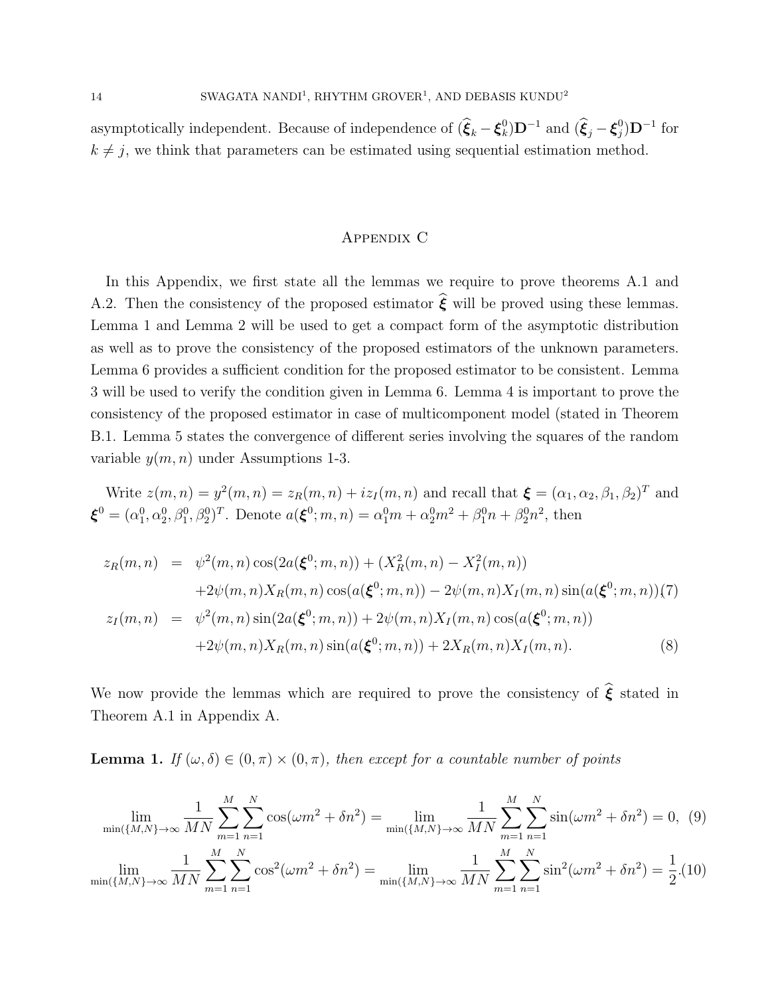asymptotically independent. Because of independence of  $(\widehat{\boldsymbol{\xi}}_k - \boldsymbol{\xi}_k^0)$  $\binom{0}{k}$ **D**<sup>-1</sup> and  $(\widehat{\xi}_j - \xi_j^0)$  $_{j}^{0})$ D<sup>-1</sup> for  $k \neq j$ , we think that parameters can be estimated using sequential estimation method.

## Appendix C

In this Appendix, we first state all the lemmas we require to prove theorems A.1 and A.2. Then the consistency of the proposed estimator  $\hat{\xi}$  will be proved using these lemmas. Lemma 1 and Lemma 2 will be used to get a compact form of the asymptotic distribution as well as to prove the consistency of the proposed estimators of the unknown parameters. Lemma 6 provides a sufficient condition for the proposed estimator to be consistent. Lemma 3 will be used to verify the condition given in Lemma 6. Lemma 4 is important to prove the consistency of the proposed estimator in case of multicomponent model (stated in Theorem B.1. Lemma 5 states the convergence of different series involving the squares of the random variable  $y(m, n)$  under Assumptions 1-3.

Write 
$$
z(m, n) = y^2(m, n) = z_R(m, n) + iz_I(m, n)
$$
 and recall that  $\boldsymbol{\xi} = (\alpha_1, \alpha_2, \beta_1, \beta_2)^T$  and  $\boldsymbol{\xi}^0 = (\alpha_1^0, \alpha_2^0, \beta_1^0, \beta_2^0)^T$ . Denote  $a(\boldsymbol{\xi}^0; m, n) = \alpha_1^0 m + \alpha_2^0 m^2 + \beta_1^0 n + \beta_2^0 n^2$ , then

$$
z_R(m,n) = \psi^2(m,n)\cos(2a(\xi^0;m,n)) + (X_R^2(m,n) - X_I^2(m,n))
$$
  
+2 $\psi(m,n)X_R(m,n)\cos(a(\xi^0;m,n)) - 2\psi(m,n)X_I(m,n)\sin(a(\xi^0;m,n))(7)$   

$$
z_I(m,n) = \psi^2(m,n)\sin(2a(\xi^0;m,n)) + 2\psi(m,n)X_I(m,n)\cos(a(\xi^0;m,n))
$$
  
+2 $\psi(m,n)X_R(m,n)\sin(a(\xi^0;m,n)) + 2X_R(m,n)X_I(m,n).$  (8)

We now provide the lemmas which are required to prove the consistency of  $\hat{\boldsymbol{\xi}}$  stated in Theorem A.1 in Appendix A.

**Lemma 1.** If  $(\omega, \delta) \in (0, \pi) \times (0, \pi)$ , then except for a countable number of points

$$
\lim_{\min\{\{M,N\}\to\infty} \frac{1}{MN} \sum_{m=1}^{M} \sum_{n=1}^{N} \cos(\omega m^2 + \delta n^2) = \lim_{\min\{\{M,N\}\to\infty} \frac{1}{MN} \sum_{m=1}^{M} \sum_{n=1}^{N} \sin(\omega m^2 + \delta n^2) = 0, (9)
$$
  

$$
\lim_{\min\{\{M,N\}\to\infty} \frac{1}{MN} \sum_{m=1}^{M} \sum_{n=1}^{N} \cos^2(\omega m^2 + \delta n^2) = \lim_{\min\{\{M,N\}\to\infty} \frac{1}{MN} \sum_{m=1}^{M} \sum_{n=1}^{N} \sin^2(\omega m^2 + \delta n^2) = \frac{1}{2}. (10)
$$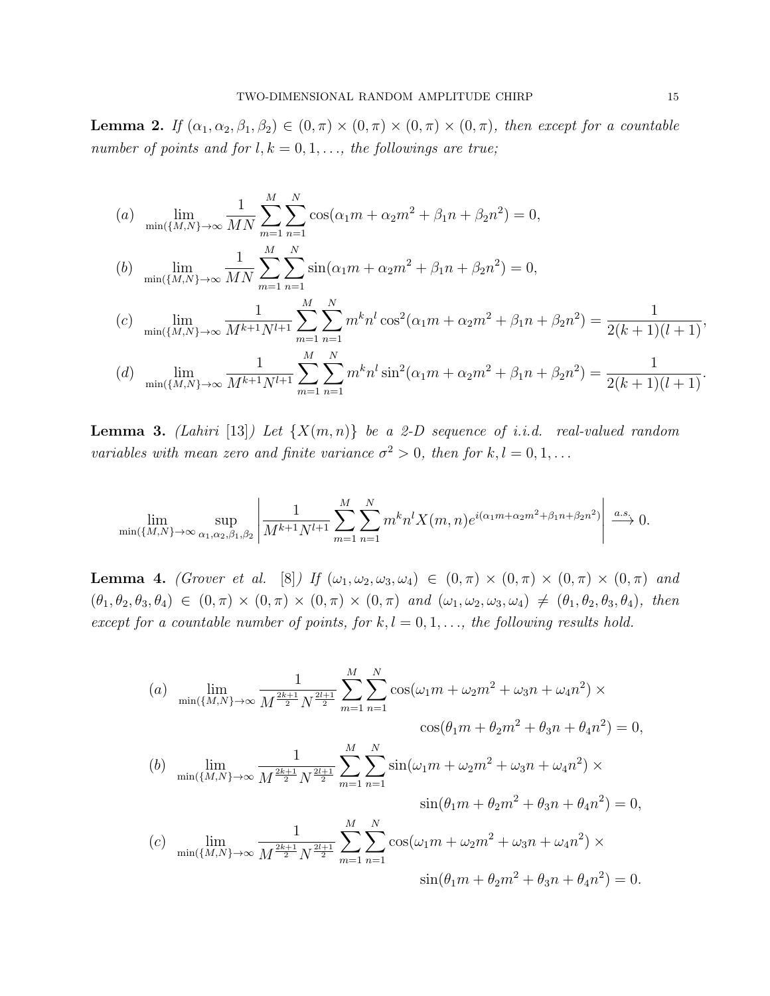**Lemma 2.** If  $(\alpha_1, \alpha_2, \beta_1, \beta_2) \in (0, \pi) \times (0, \pi) \times (0, \pi) \times (0, \pi)$ , then except for a countable number of points and for  $l, k = 0, 1, \ldots$ , the followings are true;

(a) 
$$
\lim_{\min\{M,N\}\to\infty} \frac{1}{MN} \sum_{m=1}^{M} \sum_{n=1}^{N} \cos(\alpha_1 m + \alpha_2 m^2 + \beta_1 n + \beta_2 n^2) = 0,
$$

(b) 
$$
\lim_{\min\{M,N\}\to\infty} \frac{1}{MN} \sum_{m=1}^{M} \sum_{n=1}^{N} \sin(\alpha_1 m + \alpha_2 m^2 + \beta_1 n + \beta_2 n^2) = 0,
$$

$$
(c) \quad \lim_{\min\{M,N\}\to\infty} \frac{1}{M^{k+1}N^{l+1}} \sum_{m=1}^{M} \sum_{n=1}^{N} m^k n^l \cos^2(\alpha_1 m + \alpha_2 m^2 + \beta_1 n + \beta_2 n^2) = \frac{1}{2(k+1)(l+1)},
$$

(d) 
$$
\lim_{\min\{M,N\}\to\infty} \frac{1}{M^{k+1}N^{l+1}} \sum_{m=1}^{M} \sum_{n=1}^{N} m^k n^l \sin^2(\alpha_1 m + \alpha_2 m^2 + \beta_1 n + \beta_2 n^2) = \frac{1}{2(k+1)(l+1)}.
$$

**Lemma 3.** (Lahiri [13]) Let  $\{X(m,n)\}\$  be a 2-D sequence of i.i.d. real-valued random variables with mean zero and finite variance  $\sigma^2 > 0$ , then for  $k, l = 0, 1, ...$ 

$$
\lim_{\min\{M,N\}\to\infty} \sup_{\alpha_1,\alpha_2,\beta_1,\beta_2} \left| \frac{1}{M^{k+1}N^{l+1}} \sum_{m=1}^M \sum_{n=1}^N m^k n^l X(m,n) e^{i(\alpha_1 m + \alpha_2 m^2 + \beta_1 n + \beta_2 n^2)} \right| \xrightarrow{a.s.} 0.
$$

**Lemma 4.** (Grover et al. [8]) If  $(\omega_1, \omega_2, \omega_3, \omega_4) \in (0, \pi) \times (0, \pi) \times (0, \pi) \times (0, \pi)$  and  $(\theta_1, \theta_2, \theta_3, \theta_4) \in (0, \pi) \times (0, \pi) \times (0, \pi) \times (0, \pi)$  and  $(\omega_1, \omega_2, \omega_3, \omega_4) \neq (\theta_1, \theta_2, \theta_3, \theta_4)$ , then except for a countable number of points, for  $k, l = 0, 1, \ldots$ , the following results hold.

(a) 
$$
\lim_{\min\{\{M,N\}\to\infty} \frac{1}{M^{\frac{2k+1}{2}} N^{\frac{2l+1}{2}}} \sum_{m=1}^{M} \sum_{n=1}^{N} \cos(\omega_1 m + \omega_2 m^2 + \omega_3 n + \omega_4 n^2) \times \cos(\theta_1 m + \theta_2 m^2 + \theta_3 n + \theta_4 n^2) = 0,
$$
  
(b) 
$$
\lim_{\min\{\{M,N\}\to\infty} \frac{1}{M^{\frac{2k+1}{2}} N^{\frac{2l+1}{2}}} \sum_{m=1}^{M} \sum_{n=1}^{N} \sin(\omega_1 m + \omega_2 m^2 + \omega_3 n + \omega_4 n^2) \times \sin(\theta_1 m + \theta_2 m^2 + \theta_3 n + \theta_4 n^2) = 0,
$$
  
(c) 
$$
\lim_{\min\{\{M,N\}\to\infty} \frac{1}{M^{\frac{2k+1}{2}} N^{\frac{2l+1}{2}}} \sum_{m=1}^{M} \sum_{n=1}^{N} \cos(\omega_1 m + \omega_2 m^2 + \omega_3 n + \omega_4 n^2) \times \sin(\theta_1 m + \theta_2 m^2 + \theta_3 n + \theta_4 n^2) = 0.
$$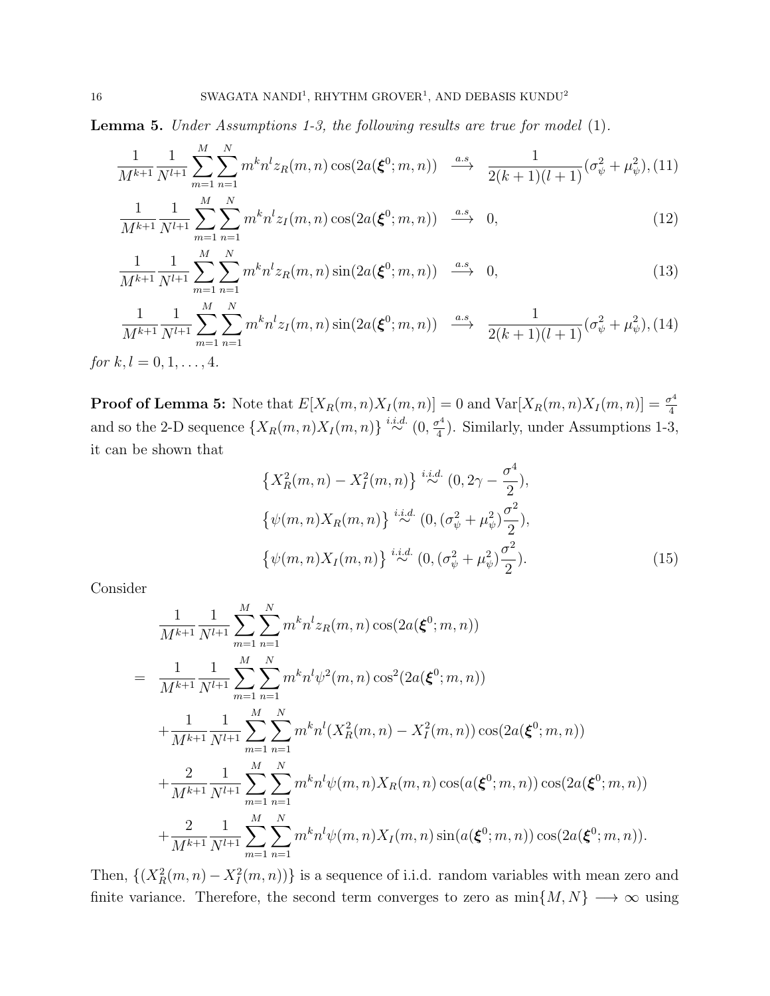**Lemma 5.** Under Assumptions 1-3, the following results are true for model (1).

$$
\frac{1}{M^{k+1}} \frac{1}{N^{l+1}} \sum_{m=1}^{M} \sum_{n=1}^{N} m^k n^l z_R(m, n) \cos(2a(\boldsymbol{\xi}^0; m, n)) \xrightarrow{a.s} \frac{1}{2(k+1)(l+1)} (\sigma_{\psi}^2 + \mu_{\psi}^2), (11)
$$

$$
\frac{1}{M^{k+1}} \frac{1}{N^{l+1}} \sum_{m=1}^{M} \sum_{n=1}^{N} m^k n^l z_I(m, n) \cos(2a(\xi^0; m, n)) \stackrel{a.s}{\longrightarrow} 0,
$$
\n(12)

$$
\frac{1}{M^{k+1}} \frac{1}{N^{l+1}} \sum_{m=1}^{M} \sum_{n=1}^{N} m^k n^l z_R(m, n) \sin(2a(\xi^0; m, n)) \stackrel{a.s}{\longrightarrow} 0,
$$
\n(13)

$$
\frac{1}{M^{k+1}} \frac{1}{N^{l+1}} \sum_{m=1}^{M} \sum_{n=1}^{N} m^k n^l z_I(m, n) \sin(2a(\xi^0; m, n)) \xrightarrow{a.s} \frac{1}{2(k+1)(l+1)} (\sigma_\psi^2 + \mu_\psi^2),
$$
(14)

for  $k, l = 0, 1, ..., 4$ .

**Proof of Lemma 5:** Note that  $E[X_R(m,n)X_I(m,n)] = 0$  and  $Var[X_R(m,n)X_I(m,n)] = \frac{\sigma^4}{4}$ 4 and so the 2-D sequence  $\{X_R(m,n)X_I(m,n)\}\stackrel{i.i.d.}{\sim} (0,\frac{\sigma^4}{4})$  $\frac{r^4}{4}$ ). Similarly, under Assumptions 1-3, it can be shown that

$$
\{X_R^2(m,n) - X_I^2(m,n)\} \stackrel{i.i.d.}{\sim} (0, 2\gamma - \frac{\sigma^4}{2}),
$$
  

$$
\{\psi(m,n)X_R(m,n)\} \stackrel{i.i.d.}{\sim} (0, (\sigma_\psi^2 + \mu_\psi^2) \frac{\sigma^2}{2}),
$$
  

$$
\{\psi(m,n)X_I(m,n)\} \stackrel{i.i.d.}{\sim} (0, (\sigma_\psi^2 + \mu_\psi^2) \frac{\sigma^2}{2}).
$$
 (15)

Consider

$$
\frac{1}{M^{k+1}} \frac{1}{N^{l+1}} \sum_{m=1}^{M} \sum_{n=1}^{N} m^{k} n^{l} z_{R}(m, n) \cos(2a(\boldsymbol{\xi}^{0}; m, n))
$$
\n
$$
= \frac{1}{M^{k+1}} \frac{1}{N^{l+1}} \sum_{m=1}^{M} \sum_{n=1}^{N} m^{k} n^{l} \psi^{2}(m, n) \cos^{2}(2a(\boldsymbol{\xi}^{0}; m, n))
$$
\n
$$
+ \frac{1}{M^{k+1}} \frac{1}{N^{l+1}} \sum_{m=1}^{M} \sum_{n=1}^{N} m^{k} n^{l} (X_{R}^{2}(m, n) - X_{I}^{2}(m, n)) \cos(2a(\boldsymbol{\xi}^{0}; m, n))
$$
\n
$$
+ \frac{2}{M^{k+1}} \frac{1}{N^{l+1}} \sum_{m=1}^{M} \sum_{n=1}^{N} m^{k} n^{l} \psi(m, n) X_{R}(m, n) \cos(a(\boldsymbol{\xi}^{0}; m, n)) \cos(2a(\boldsymbol{\xi}^{0}; m, n))
$$
\n
$$
+ \frac{2}{M^{k+1}} \frac{1}{N^{l+1}} \sum_{m=1}^{M} \sum_{n=1}^{N} m^{k} n^{l} \psi(m, n) X_{I}(m, n) \sin(a(\boldsymbol{\xi}^{0}; m, n)) \cos(2a(\boldsymbol{\xi}^{0}; m, n)).
$$

Then,  $\{(X_R^2(m,n) - X_I^2(m,n))\}$  is a sequence of i.i.d. random variables with mean zero and finite variance. Therefore, the second term converges to zero as  $\min\{M, N\} \longrightarrow \infty$  using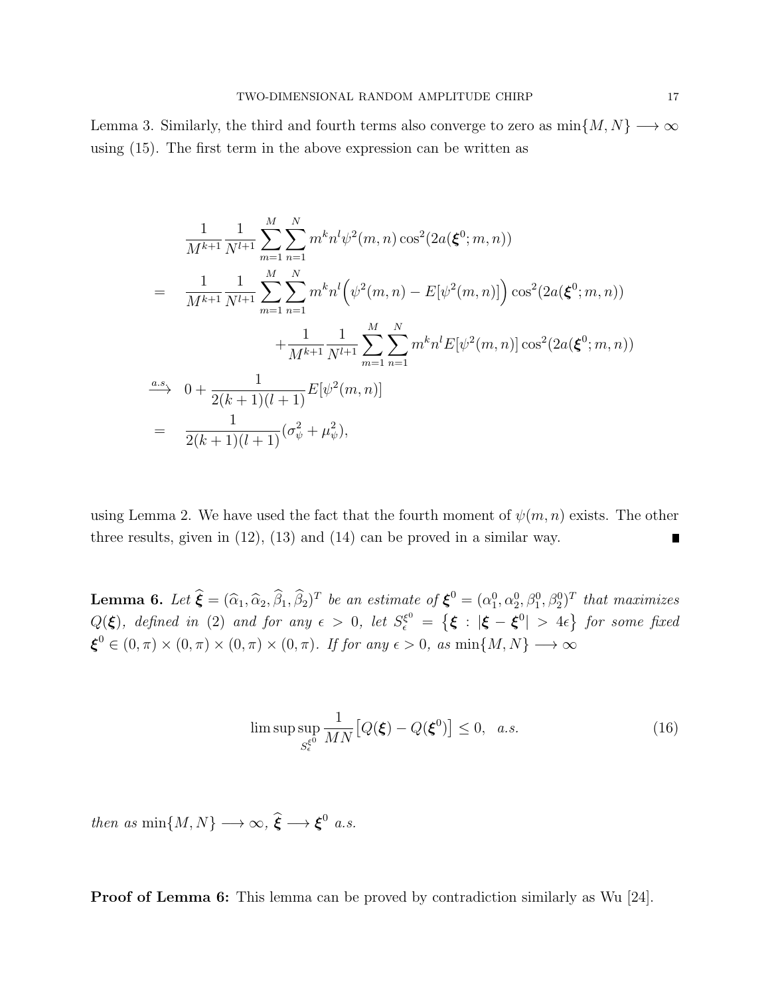Lemma 3. Similarly, the third and fourth terms also converge to zero as  $\min\{M, N\} \longrightarrow \infty$ using (15). The first term in the above expression can be written as

$$
\frac{1}{M^{k+1}} \frac{1}{N^{l+1}} \sum_{m=1}^{M} \sum_{n=1}^{N} m^k n^l \psi^2(m, n) \cos^2(2a(\boldsymbol{\xi}^0; m, n))
$$
\n
$$
= \frac{1}{M^{k+1}} \frac{1}{N^{l+1}} \sum_{m=1}^{M} \sum_{n=1}^{N} m^k n^l (\psi^2(m, n) - E[\psi^2(m, n)]) \cos^2(2a(\boldsymbol{\xi}^0; m, n)) + \frac{1}{M^{k+1}} \sum_{m=1}^{M} \sum_{n=1}^{N} m^k n^l E[\psi^2(m, n)] \cos^2(2a(\boldsymbol{\xi}^0; m, n))
$$
\n
$$
\xrightarrow{a.s.} 0 + \frac{1}{2(k+1)(l+1)} E[\psi^2(m, n)]
$$
\n
$$
= \frac{1}{2(k+1)(l+1)} (\sigma_{\psi}^2 + \mu_{\psi}^2),
$$

using Lemma 2. We have used the fact that the fourth moment of  $\psi(m, n)$  exists. The other three results, given in (12), (13) and (14) can be proved in a similar way.

**Lemma 6.** Let  $\hat{\boldsymbol{\xi}} = (\hat{\alpha}_1, \hat{\alpha}_2, \hat{\beta}_1, \hat{\beta}_2)^T$  be an estimate of  $\boldsymbol{\xi}^0 = (\alpha_1^0, \alpha_2^0, \beta_1^0, \beta_2^0)^T$  that maximizes  $Q(\boldsymbol{\xi})$ , defined in (2) and for any  $\epsilon > 0$ , let  $S^{\xi^0}_\epsilon = \left\{ \boldsymbol{\xi} \, : \, |\boldsymbol{\xi} - \boldsymbol{\xi}^0| > 4\epsilon \right\}$  for some fixed  $\boldsymbol{\xi}^0 \in (0, \pi) \times (0, \pi) \times (0, \pi) \times (0, \pi)$ . If for any  $\epsilon > 0$ , as  $\min\{M, N\} \longrightarrow \infty$ 

$$
\limsup_{S_{\epsilon}^{\xi^0}} \frac{1}{MN} \big[ Q(\xi) - Q(\xi^0) \big] \le 0, \quad a.s. \tag{16}
$$

then as  $\min\{M, N\} \longrightarrow \infty$ ,  $\hat{\boldsymbol{\xi}} \longrightarrow \boldsymbol{\xi}^0$  a.s.

**Proof of Lemma 6:** This lemma can be proved by contradiction similarly as Wu [24].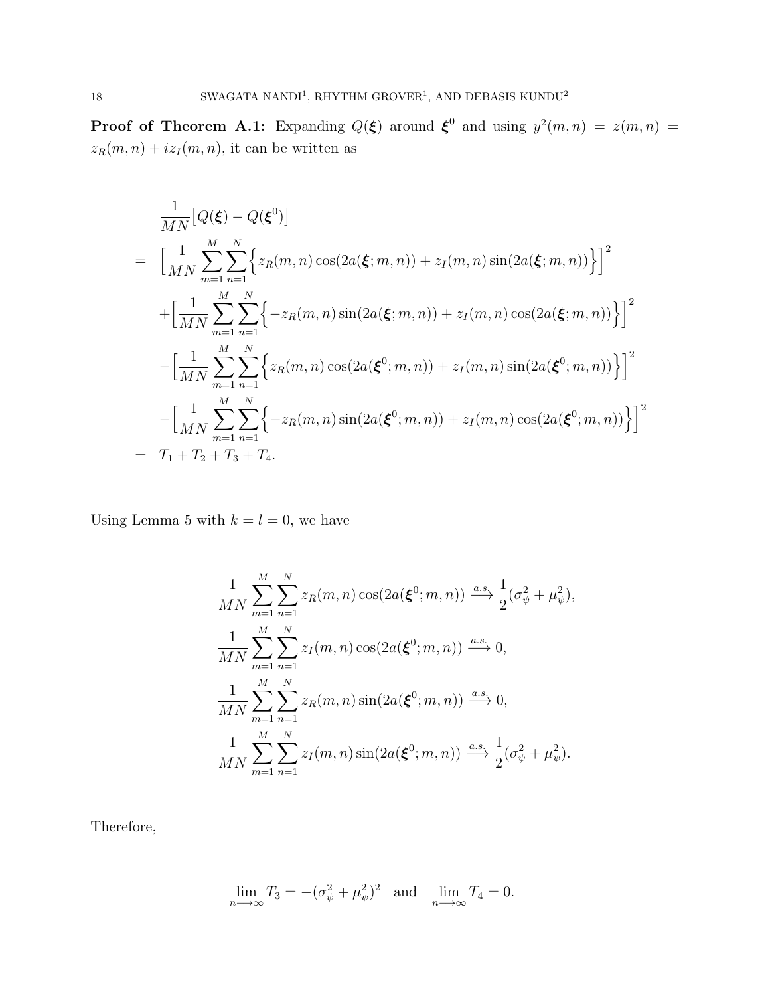**Proof of Theorem A.1:** Expanding  $Q(\boldsymbol{\xi})$  around  $\boldsymbol{\xi}^0$  and using  $y^2(m,n) = z(m,n) = z(m,n)$  $z_R(m, n) + iz_I(m, n)$ , it can be written as

$$
\frac{1}{MN} [Q(\xi) - Q(\xi^{0})]
$$
\n
$$
= \left[ \frac{1}{MN} \sum_{m=1}^{M} \sum_{n=1}^{N} \left\{ z_{R}(m, n) \cos(2a(\xi; m, n)) + z_{I}(m, n) \sin(2a(\xi; m, n)) \right\} \right]^{2}
$$
\n
$$
+ \left[ \frac{1}{MN} \sum_{m=1}^{M} \sum_{n=1}^{N} \left\{ -z_{R}(m, n) \sin(2a(\xi; m, n)) + z_{I}(m, n) \cos(2a(\xi; m, n)) \right\} \right]^{2}
$$
\n
$$
- \left[ \frac{1}{MN} \sum_{m=1}^{M} \sum_{n=1}^{N} \left\{ z_{R}(m, n) \cos(2a(\xi^{0}; m, n)) + z_{I}(m, n) \sin(2a(\xi^{0}; m, n)) \right\} \right]^{2}
$$
\n
$$
- \left[ \frac{1}{MN} \sum_{m=1}^{M} \sum_{n=1}^{N} \left\{ -z_{R}(m, n) \sin(2a(\xi^{0}; m, n)) + z_{I}(m, n) \cos(2a(\xi^{0}; m, n)) \right\} \right]^{2}
$$
\n
$$
= T_{1} + T_{2} + T_{3} + T_{4}.
$$

Using Lemma 5 with  $k = l = 0$ , we have

$$
\frac{1}{MN} \sum_{m=1}^{M} \sum_{n=1}^{N} z_R(m, n) \cos(2a(\boldsymbol{\xi}^0; m, n)) \xrightarrow{a.s.} \frac{1}{2} (\sigma_{\psi}^2 + \mu_{\psi}^2),
$$
  

$$
\frac{1}{MN} \sum_{m=1}^{M} \sum_{n=1}^{N} z_I(m, n) \cos(2a(\boldsymbol{\xi}^0; m, n)) \xrightarrow{a.s.} 0,
$$
  

$$
\frac{1}{MN} \sum_{m=1}^{M} \sum_{n=1}^{N} z_R(m, n) \sin(2a(\boldsymbol{\xi}^0; m, n)) \xrightarrow{a.s.} 0,
$$
  

$$
\frac{1}{MN} \sum_{m=1}^{M} \sum_{n=1}^{N} z_I(m, n) \sin(2a(\boldsymbol{\xi}^0; m, n)) \xrightarrow{a.s.} \frac{1}{2} (\sigma_{\psi}^2 + \mu_{\psi}^2).
$$

Therefore,

$$
\lim_{n \to \infty} T_3 = -(\sigma_\psi^2 + \mu_\psi^2)^2 \quad \text{and} \quad \lim_{n \to \infty} T_4 = 0.
$$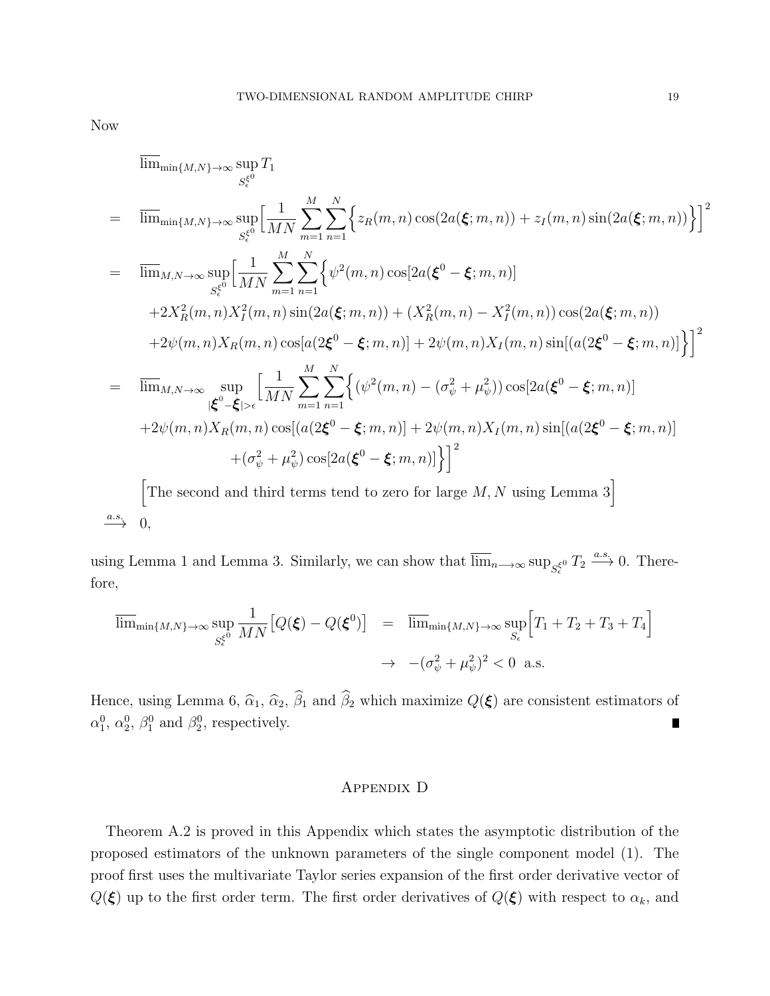Now

$$
\lim_{\substack{m \to \infty}} \lim_{\substack{M,N \to \infty}} \sup_{S_{\epsilon}^{(0)}} T_1
$$
\n
$$
= \lim_{\substack{S_{\epsilon}^{(0)}}} \lim_{\substack{M,N \to \infty}} \sum_{\substack{m=1 \\ m \neq 1}}^{M} \sum_{n=1}^{N} \left\{ z_R(m,n) \cos(2a(\xi;m,n)) + z_I(m,n) \sin(2a(\xi;m,n)) \right\}^2
$$
\n
$$
= \lim_{\substack{M,N \to \infty}} \sup_{S_{\epsilon}^{(0)}} \left[ \frac{1}{MN} \sum_{m=1}^{M} \sum_{n=1}^{N} \left\{ \psi^2(m,n) \cos[2a(\xi^0 - \xi;m,n)] + 2X_R^2(m,n)X_I^2(m,n)X_I^2(m,n) \sin(2a(\xi;m,n)) + (X_R^2(m,n) - X_I^2(m,n)) \cos(2a(\xi;m,n)) \right\}^2
$$
\n
$$
+ 2\psi(m,n)X_R(m,n) \cos[a(2\xi^0 - \xi;m,n)] + 2\psi(m,n)X_I(m,n) \sin[(a(2\xi^0 - \xi;m,n)]] \right\}^2
$$
\n
$$
= \lim_{\substack{|\xi^0 - \xi| > \epsilon}} \sup_{\substack{M \to \infty}} \left[ \frac{1}{MN} \sum_{m=1}^{M} \sum_{n=1}^{N} \left\{ (\psi^2(m,n) - (\sigma_\psi^2 + \mu_\psi^2)) \cos[2a(\xi^0 - \xi;m,n)] + 2\psi(m,n)X_R(m,n) \cos[(a(2\xi^0 - \xi;m,n)] + (\sigma_\psi^2 + \mu_\psi^2) \cos[2a(\xi^0 - \xi;m,n)] \right\}^2 \right\}^2
$$
\n[The second and third terms tend to zero for large *M*, *N* using Lemma 3]

 $\xrightarrow{a.s.} 0,$ 

using Lemma 1 and Lemma 3. Similarly, we can show that  $\overline{\lim}_{n\to\infty} \sup_{S_\epsilon^{\xi^0}} T_2 \xrightarrow{a.s.} 0$ . Therefore,

$$
\overline{\lim}_{\min\{M,N\}\to\infty} \sup_{S_{\epsilon}^{\xi^0}} \frac{1}{MN} \Big[ Q(\xi) - Q(\xi^0) \Big] = \overline{\lim}_{\min\{M,N\}\to\infty} \sup_{S_{\epsilon}} \Big[ T_1 + T_2 + T_3 + T_4 \Big] \n\to -(\sigma_{\psi}^2 + \mu_{\psi}^2)^2 < 0 \text{ a.s.}
$$

Hence, using Lemma 6,  $\hat{\alpha}_1$ ,  $\hat{\alpha}_2$ ,  $\hat{\beta}_1$  and  $\hat{\beta}_2$  which maximize  $Q(\boldsymbol{\xi})$  are consistent estimators of  $\alpha_1^0, \alpha_2^0, \beta_1^0$  and  $\beta_2^0$ , respectively.

### Appendix D

Theorem A.2 is proved in this Appendix which states the asymptotic distribution of the proposed estimators of the unknown parameters of the single component model (1). The proof first uses the multivariate Taylor series expansion of the first order derivative vector of  $Q(\xi)$  up to the first order term. The first order derivatives of  $Q(\xi)$  with respect to  $\alpha_k$ , and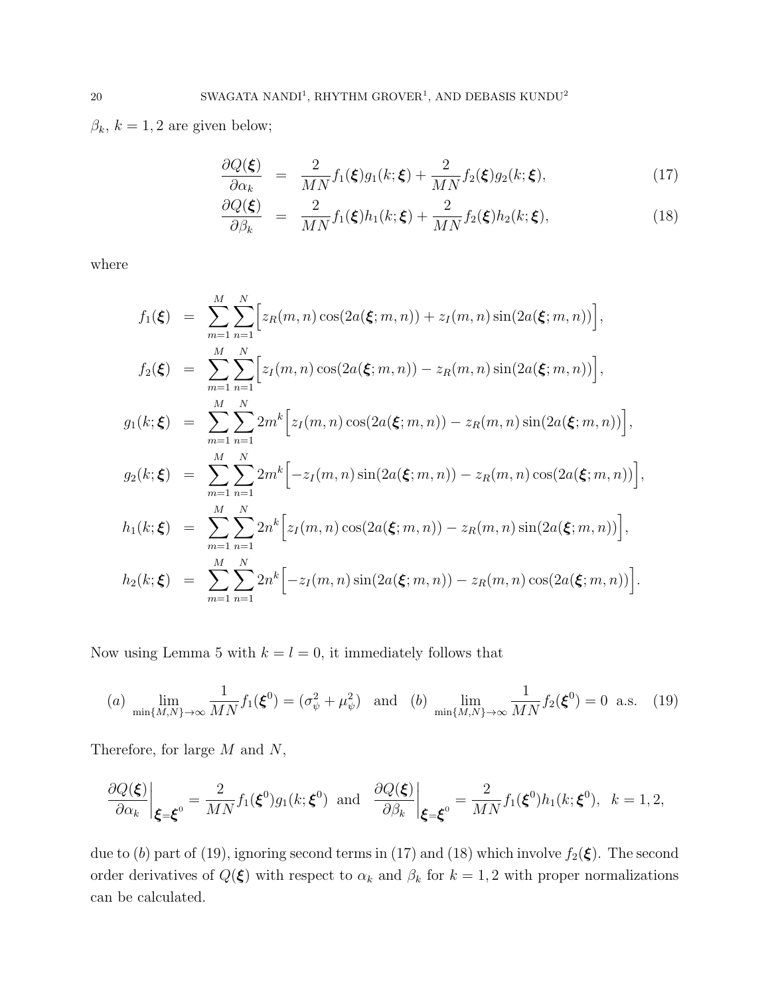$\beta_k$ ,  $k = 1, 2$  are given below;

$$
\frac{\partial Q(\boldsymbol{\xi})}{\partial \alpha_k} = \frac{2}{MN} f_1(\boldsymbol{\xi}) g_1(k; \boldsymbol{\xi}) + \frac{2}{MN} f_2(\boldsymbol{\xi}) g_2(k; \boldsymbol{\xi}), \tag{17}
$$

$$
\frac{\partial Q(\boldsymbol{\xi})}{\partial \beta_k} = \frac{2}{MN} f_1(\boldsymbol{\xi}) h_1(k; \boldsymbol{\xi}) + \frac{2}{MN} f_2(\boldsymbol{\xi}) h_2(k; \boldsymbol{\xi}), \tag{18}
$$

where

$$
f_1(\xi) = \sum_{m=1}^{M} \sum_{n=1}^{N} \Big[ z_R(m,n) \cos(2a(\xi;m,n)) + z_I(m,n) \sin(2a(\xi;m,n)) \Big],
$$
  
\n
$$
f_2(\xi) = \sum_{m=1}^{M} \sum_{n=1}^{N} \Big[ z_I(m,n) \cos(2a(\xi;m,n)) - z_R(m,n) \sin(2a(\xi;m,n)) \Big],
$$
  
\n
$$
g_1(k;\xi) = \sum_{m=1}^{M} \sum_{n=1}^{N} 2m^k \Big[ z_I(m,n) \cos(2a(\xi;m,n)) - z_R(m,n) \sin(2a(\xi;m,n)) \Big],
$$
  
\n
$$
g_2(k;\xi) = \sum_{m=1}^{M} \sum_{n=1}^{N} 2m^k \Big[ -z_I(m,n) \sin(2a(\xi;m,n)) - z_R(m,n) \cos(2a(\xi;m,n)) \Big],
$$
  
\n
$$
h_1(k;\xi) = \sum_{m=1}^{M} \sum_{n=1}^{N} 2n^k \Big[ z_I(m,n) \cos(2a(\xi;m,n)) - z_R(m,n) \sin(2a(\xi;m,n)) \Big],
$$
  
\n
$$
h_2(k;\xi) = \sum_{m=1}^{M} \sum_{n=1}^{N} 2n^k \Big[ -z_I(m,n) \sin(2a(\xi;m,n)) - z_R(m,n) \cos(2a(\xi;m,n)) \Big].
$$

Now using Lemma 5 with  $k = l = 0$ , it immediately follows that

(a) 
$$
\lim_{\min\{M,N\}\to\infty} \frac{1}{MN} f_1(\xi^0) = (\sigma_{\psi}^2 + \mu_{\psi}^2)
$$
 and (b)  $\lim_{\min\{M,N\}\to\infty} \frac{1}{MN} f_2(\xi^0) = 0$  a.s. (19)

Therefore, for large  $M$  and  $N$ ,

$$
\left. \frac{\partial Q(\boldsymbol{\xi})}{\partial \alpha_k} \right|_{\boldsymbol{\xi} = \boldsymbol{\xi}^0} = \frac{2}{MN} f_1(\boldsymbol{\xi}^0) g_1(k; \boldsymbol{\xi}^0) \text{ and } \left. \frac{\partial Q(\boldsymbol{\xi})}{\partial \beta_k} \right|_{\boldsymbol{\xi} = \boldsymbol{\xi}^0} = \frac{2}{MN} f_1(\boldsymbol{\xi}^0) h_1(k; \boldsymbol{\xi}^0), \ \ k = 1, 2,
$$

due to (b) part of (19), ignoring second terms in (17) and (18) which involve  $f_2(\xi)$ . The second order derivatives of  $Q(\xi)$  with respect to  $\alpha_k$  and  $\beta_k$  for  $k = 1, 2$  with proper normalizations can be calculated.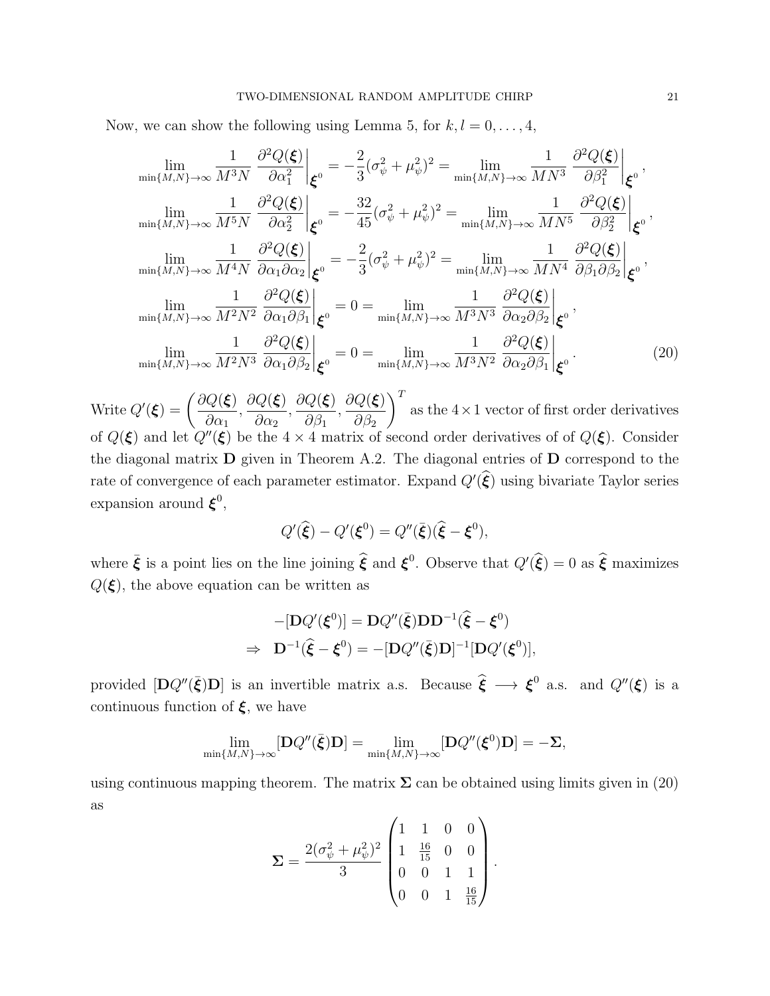Now, we can show the following using Lemma 5, for  $k, l = 0, \ldots, 4$ ,

$$
\lim_{\min\{M,N\}\to\infty} \frac{1}{M^3 N} \frac{\partial^2 Q(\xi)}{\partial \alpha_1^2} \Big|_{\xi^0} = -\frac{2}{3} (\sigma_\psi^2 + \mu_\psi^2)^2 = \lim_{\min\{M,N\}\to\infty} \frac{1}{M N^3} \frac{\partial^2 Q(\xi)}{\partial \beta_1^2} \Big|_{\xi^0},
$$
\n
$$
\lim_{\min\{M,N\}\to\infty} \frac{1}{M^5 N} \frac{\partial^2 Q(\xi)}{\partial \alpha_2^2} \Big|_{\xi^0} = -\frac{32}{45} (\sigma_\psi^2 + \mu_\psi^2)^2 = \lim_{\min\{M,N\}\to\infty} \frac{1}{M N^5} \frac{\partial^2 Q(\xi)}{\partial \beta_2^2} \Big|_{\xi^0},
$$
\n
$$
\lim_{\min\{M,N\}\to\infty} \frac{1}{M^4 N} \frac{\partial^2 Q(\xi)}{\partial \alpha_1 \partial \alpha_2} \Big|_{\xi^0} = -\frac{2}{3} (\sigma_\psi^2 + \mu_\psi^2)^2 = \lim_{\min\{M,N\}\to\infty} \frac{1}{M N^4} \frac{\partial^2 Q(\xi)}{\partial \beta_1 \partial \beta_2} \Big|_{\xi^0},
$$
\n
$$
\lim_{\min\{M,N\}\to\infty} \frac{1}{M^2 N^2} \frac{\partial^2 Q(\xi)}{\partial \alpha_1 \partial \beta_1} \Big|_{\xi^0} = 0 = \lim_{\min\{M,N\}\to\infty} \frac{1}{M^3 N^3} \frac{\partial^2 Q(\xi)}{\partial \alpha_2 \partial \beta_2} \Big|_{\xi^0},
$$
\n
$$
\lim_{\min\{M,N\}\to\infty} \frac{1}{M^2 N^3} \frac{\partial^2 Q(\xi)}{\partial \alpha_1 \partial \beta_2} \Big|_{\xi^0} = 0 = \lim_{\min\{M,N\}\to\infty} \frac{1}{M^3 N^2} \frac{\partial^2 Q(\xi)}{\partial \alpha_2 \partial \beta_1} \Big|_{\xi^0}.
$$
\n(20)

Write  $Q'(\boldsymbol{\xi}) = \left(\frac{\partial Q(\boldsymbol{\xi})}{\partial \boldsymbol{\xi}}\right)$  $\partial\alpha_1$ ,  $\partial Q(\boldsymbol{\xi})$  $\partial \alpha_2$ ,  $\partial Q(\boldsymbol{\xi})$  $\partial \beta_1$ ,  $\partial Q(\boldsymbol{\xi})$  $\partial \beta_2$  $\setminus^T$ as the  $4 \times 1$  vector of first order derivatives of  $Q(\xi)$  and let  $Q''(\xi)$  be the  $4 \times 4$  matrix of second order derivatives of of  $Q(\xi)$ . Consider the diagonal matrix D given in Theorem A.2. The diagonal entries of D correspond to the rate of convergence of each parameter estimator. Expand  $Q'(\hat{\xi})$  using bivariate Taylor series expansion around  $\xi^0$ ,

$$
Q'(\widehat{\boldsymbol{\xi}}) - Q'(\boldsymbol{\xi}^0) = Q''(\overline{\boldsymbol{\xi}})(\widehat{\boldsymbol{\xi}} - \boldsymbol{\xi}^0),
$$

where  $\bar{\xi}$  is a point lies on the line joining  $\hat{\xi}$  and  $\xi^0$ . Observe that  $Q'(\hat{\xi}) = 0$  as  $\hat{\xi}$  maximizes  $Q(\xi)$ , the above equation can be written as

$$
-[\mathbf{D}Q'(\boldsymbol{\xi}^0)] = \mathbf{D}Q''(\bar{\boldsymbol{\xi}})\mathbf{D}\mathbf{D}^{-1}(\widehat{\boldsymbol{\xi}} - \boldsymbol{\xi}^0)
$$
  
\n
$$
\Rightarrow \mathbf{D}^{-1}(\widehat{\boldsymbol{\xi}} - \boldsymbol{\xi}^0) = -[\mathbf{D}Q''(\bar{\boldsymbol{\xi}})\mathbf{D}]^{-1}[\mathbf{D}Q'(\boldsymbol{\xi}^0)],
$$

provided  $[DQ''(\bar{\xi})D]$  is an invertible matrix a.s. Because  $\hat{\xi} \longrightarrow \xi^0$  a.s. and  $Q''(\xi)$  is a continuous function of  $\xi$ , we have

$$
\lim_{\min\{M,N\}\to\infty}[\mathbf{D}Q''(\bar{\boldsymbol{\xi}})\mathbf{D}] = \lim_{\min\{M,N\}\to\infty}[\mathbf{D}Q''(\boldsymbol{\xi}^0)\mathbf{D}] = -\boldsymbol{\Sigma},
$$

using continuous mapping theorem. The matrix  $\Sigma$  can be obtained using limits given in (20) as

$$
\mathbf{\Sigma} = \frac{2(\sigma_{\psi}^2 + \mu_{\psi}^2)^2}{3} \begin{pmatrix} 1 & 1 & 0 & 0 \\ 1 & \frac{16}{15} & 0 & 0 \\ 0 & 0 & 1 & 1 \\ 0 & 0 & 1 & \frac{16}{15} \end{pmatrix}.
$$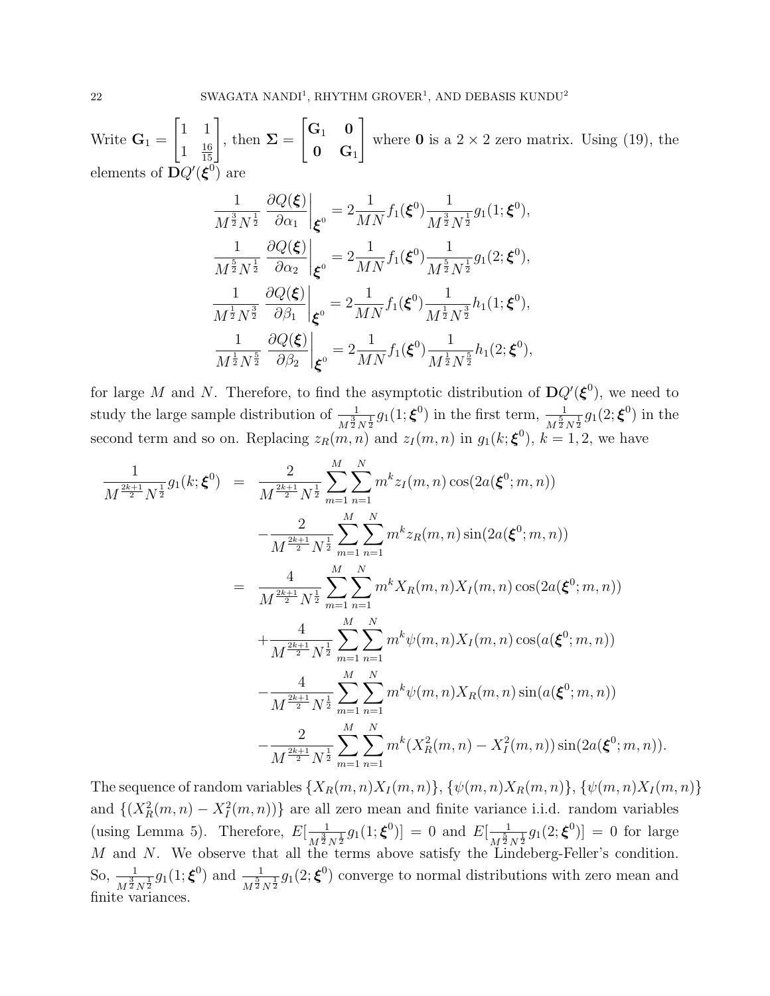Write  $\mathbf{G}_1 =$  $\begin{bmatrix} 1 & 1 \end{bmatrix}$  $1 \frac{16}{15}$  $\frac{1}{15}$ , then  $\Sigma =$  $\begin{bmatrix} \mathbf{G}_1 & \mathbf{0} \end{bmatrix}$  $\mathbf{0}$   $\mathbf{G}_1$ 1 where 0 is a  $2 \times 2$  zero matrix. Using (19), the elements of  $\bar{\mathbf{D}}Q'(\boldsymbol{\xi}^0)$  are

$$
\frac{1}{M^{\frac{3}{2}}N^{\frac{1}{2}}} \frac{\partial Q(\xi)}{\partial \alpha_1} \Big|_{\xi^0} = 2 \frac{1}{MN} f_1(\xi^0) \frac{1}{M^{\frac{3}{2}}N^{\frac{1}{2}}} g_1(1;\xi^0),
$$
  

$$
\frac{1}{M^{\frac{5}{2}}N^{\frac{1}{2}}} \frac{\partial Q(\xi)}{\partial \alpha_2} \Big|_{\xi^0} = 2 \frac{1}{MN} f_1(\xi^0) \frac{1}{M^{\frac{5}{2}}N^{\frac{1}{2}}} g_1(2;\xi^0),
$$
  

$$
\frac{1}{M^{\frac{1}{2}}N^{\frac{3}{2}}} \frac{\partial Q(\xi)}{\partial \beta_1} \Big|_{\xi^0} = 2 \frac{1}{MN} f_1(\xi^0) \frac{1}{M^{\frac{1}{2}}N^{\frac{3}{2}}} h_1(1;\xi^0),
$$
  

$$
\frac{1}{M^{\frac{1}{2}}N^{\frac{5}{2}}} \frac{\partial Q(\xi)}{\partial \beta_2} \Big|_{\xi^0} = 2 \frac{1}{MN} f_1(\xi^0) \frac{1}{M^{\frac{1}{2}}N^{\frac{5}{2}}} h_1(2;\xi^0),
$$

for large M and N. Therefore, to find the asymptotic distribution of  $DQ'(\xi^0)$ , we need to study the large sample distribution of  $\frac{1}{M^{\frac{3}{2}}N^{\frac{1}{2}}}g_1(1;\boldsymbol{\xi}^0)$  in the first term,  $\frac{1}{M^{\frac{5}{2}}N^{\frac{1}{2}}}g_1(2;\boldsymbol{\xi}^0)$  in the second term and so on. Replacing  $z_R(m,n)$  and  $z_I(m,n)$  in  $g_1(k;\boldsymbol{\xi}^0)$ ,  $k=1,2$ , we have

$$
\frac{1}{M^{\frac{2k+1}{2}}N^{\frac{1}{2}}}g_{1}(k;\xi^{0}) = \frac{2}{M^{\frac{2k+1}{2}}N^{\frac{1}{2}}}\sum_{m=1}^{M}\sum_{n=1}^{N}m^{k}z_{I}(m,n)\cos(2a(\xi^{0};m,n))
$$
  

$$
-\frac{2}{M^{\frac{2k+1}{2}}N^{\frac{1}{2}}}\sum_{m=1}^{M}\sum_{n=1}^{N}m^{k}z_{R}(m,n)\sin(2a(\xi^{0};m,n))
$$
  

$$
=\frac{4}{M^{\frac{2k+1}{2}}N^{\frac{1}{2}}}\sum_{m=1}^{M}\sum_{n=1}^{N}m^{k}X_{R}(m,n)X_{I}(m,n)\cos(2a(\xi^{0};m,n))
$$
  

$$
+\frac{4}{M^{\frac{2k+1}{2}}N^{\frac{1}{2}}}\sum_{m=1}^{M}\sum_{n=1}^{N}m^{k}\psi(m,n)X_{I}(m,n)\cos(a(\xi^{0};m,n))
$$
  

$$
-\frac{4}{M^{\frac{2k+1}{2}}N^{\frac{1}{2}}}\sum_{m=1}^{M}\sum_{n=1}^{N}m^{k}\psi(m,n)X_{R}(m,n)\sin(a(\xi^{0};m,n))
$$
  

$$
-\frac{2}{M^{\frac{2k+1}{2}}N^{\frac{1}{2}}}\sum_{m=1}^{M}\sum_{n=1}^{N}m^{k}(X_{R}^{2}(m,n)-X_{I}^{2}(m,n))\sin(2a(\xi^{0};m,n)).
$$

The sequence of random variables  $\{X_R(m,n)X_I(m,n)\}, \{\psi(m,n)X_R(m,n)\}, \{\psi(m,n)X_I(m,n)\}$ and  $\{(X_R^2(m,n) - X_I^2(m,n))\}$  are all zero mean and finite variance i.i.d. random variables (using Lemma 5). Therefore,  $E\left[\frac{1}{1.3}\right]$  $\frac{1}{M^{\frac{3}{2}}N^{\frac{1}{2}}}g_1(1;\boldsymbol{\xi}^0)]\,=\,0$  and  $E[\frac{1}{M^{\frac{5}{2}}}]$  $\frac{1}{M^{\frac{5}{2}}N^{\frac{1}{2}}}g_1(2;\boldsymbol{\xi}^0)]=0$  for large M and N. We observe that all the terms above satisfy the Lindeberg-Feller's condition. So,  $\frac{1}{M^{\frac{3}{2}}N^{\frac{1}{2}}}g_1(1;\boldsymbol{\xi}^0)$  and  $\frac{1}{M^{\frac{5}{2}}N^{\frac{1}{2}}}g_1(2;\boldsymbol{\xi}^0)$  converge to normal distributions with zero mean and finite variances.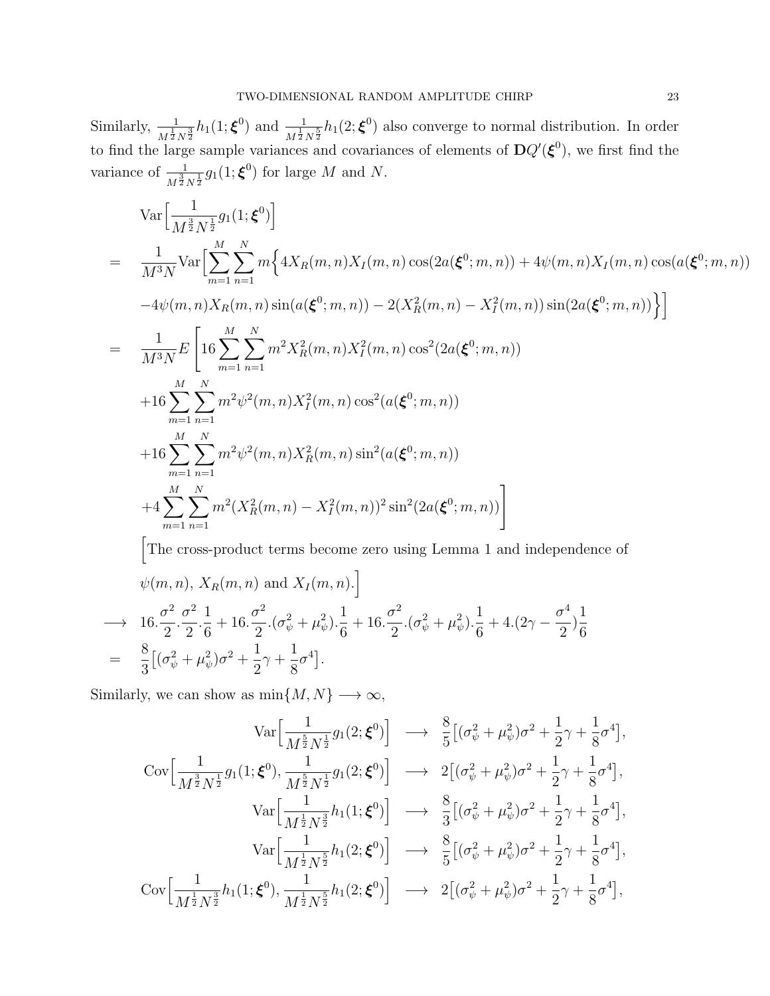Similarly,  $\frac{1}{M^{\frac{1}{2}}N^{\frac{3}{2}}}h_1(1;\boldsymbol{\xi}^0)$  and  $\frac{1}{M^{\frac{1}{2}}N^{\frac{5}{2}}}h_1(2;\boldsymbol{\xi}^0)$  also converge to normal distribution. In order to find the large sample variances and covariances of elements of  $DQ'(\xi^0)$ , we first find the variance of  $\frac{1}{M^{\frac{3}{2}}N^{\frac{1}{2}}}g_1(1;\boldsymbol{\xi}^0)$  for large M and N.

$$
\operatorname{Var}\Big[\frac{1}{M^{\frac{3}{2}}N^{\frac{1}{2}}}g_1(1;\xi^0)\Big]
$$
\n
$$
= \frac{1}{M^3N} \operatorname{Var}\Big[\sum_{m=1}^M \sum_{n=1}^N m\Big\{4X_R(m,n)X_I(m,n)\cos(2a(\xi^0;m,n)) + 4\psi(m,n)X_I(m,n)\cos(a(\xi^0;m,n)) -4\psi(m,n)X_R(m,n)\sin(a(\xi^0;m,n)) - 2(X_R^2(m,n) - X_I^2(m,n))\sin(2a(\xi^0;m,n))\Big\}\Big]
$$
\n
$$
= \frac{1}{M^3N} E\Bigg[16\sum_{m=1}^M \sum_{n=1}^N m^2 X_R^2(m,n)X_I^2(m,n)\cos^2(2a(\xi^0;m,n)) + 16\sum_{m=1}^M \sum_{n=1}^N m^2 \psi^2(m,n)X_I^2(m,n)\cos^2(a(\xi^0;m,n)) + 16\sum_{m=1}^M \sum_{n=1}^N m^2 \psi^2(m,n)X_R^2(m,n)\sin^2(a(\xi^0;m,n)) + 4\sum_{m=1}^M \sum_{n=1}^N m^2 (X_R^2(m,n) - X_I^2(m,n))^2 \sin^2(2a(\xi^0;m,n))\Bigg]
$$

The cross-product terms become zero using Lemma 1 and independence of

$$
\psi(m, n), X_R(m, n) \text{ and } X_I(m, n).]
$$
\n
$$
\rightarrow 16 \cdot \frac{\sigma^2}{2} \cdot \frac{\sigma^2}{2} \cdot \frac{1}{6} + 16 \cdot \frac{\sigma^2}{2} \cdot (\sigma_\psi^2 + \mu_\psi^2) \cdot \frac{1}{6} + 16 \cdot \frac{\sigma^2}{2} \cdot (\sigma_\psi^2 + \mu_\psi^2) \cdot \frac{1}{6} + 4 \cdot (2\gamma - \frac{\sigma^4}{2}) \frac{1}{6}
$$
\n
$$
= \frac{8}{3} [(\sigma_\psi^2 + \mu_\psi^2)\sigma^2 + \frac{1}{2}\gamma + \frac{1}{8}\sigma^4].
$$

Similarly, we can show as  $\min\{M,N\}\longrightarrow\infty,$ 

$$
\operatorname{Var}\Big[\frac{1}{M^{\frac{5}{2}}N^{\frac{1}{2}}}g_{1}(2;\boldsymbol{\xi}^{0})\Big] \longrightarrow \frac{8}{5}\big[(\sigma_{\psi}^{2}+\mu_{\psi}^{2})\sigma^{2}+\frac{1}{2}\gamma+\frac{1}{8}\sigma^{4}\big],
$$
  
\n
$$
\operatorname{Cov}\Big[\frac{1}{M^{\frac{3}{2}}N^{\frac{1}{2}}}g_{1}(1;\boldsymbol{\xi}^{0}),\frac{1}{M^{\frac{5}{2}}N^{\frac{1}{2}}}g_{1}(2;\boldsymbol{\xi}^{0})\Big] \longrightarrow 2\big[(\sigma_{\psi}^{2}+\mu_{\psi}^{2})\sigma^{2}+\frac{1}{2}\gamma+\frac{1}{8}\sigma^{4}\big],
$$
  
\n
$$
\operatorname{Var}\Big[\frac{1}{M^{\frac{1}{2}}N^{\frac{3}{2}}}h_{1}(1;\boldsymbol{\xi}^{0})\Big] \longrightarrow \frac{8}{3}\big[(\sigma_{\psi}^{2}+\mu_{\psi}^{2})\sigma^{2}+\frac{1}{2}\gamma+\frac{1}{8}\sigma^{4}\big],
$$
  
\n
$$
\operatorname{Var}\Big[\frac{1}{M^{\frac{1}{2}}N^{\frac{5}{2}}}h_{1}(2;\boldsymbol{\xi}^{0})\Big] \longrightarrow \frac{8}{5}\big[(\sigma_{\psi}^{2}+\mu_{\psi}^{2})\sigma^{2}+\frac{1}{2}\gamma+\frac{1}{8}\sigma^{4}\big],
$$
  
\n
$$
\operatorname{Cov}\Big[\frac{1}{M^{\frac{1}{2}}N^{\frac{3}{2}}}h_{1}(1;\boldsymbol{\xi}^{0}),\frac{1}{M^{\frac{1}{2}}N^{\frac{5}{2}}}h_{1}(2;\boldsymbol{\xi}^{0})\Big] \longrightarrow 2\big[(\sigma_{\psi}^{2}+\mu_{\psi}^{2})\sigma^{2}+\frac{1}{2}\gamma+\frac{1}{8}\sigma^{4}\big],
$$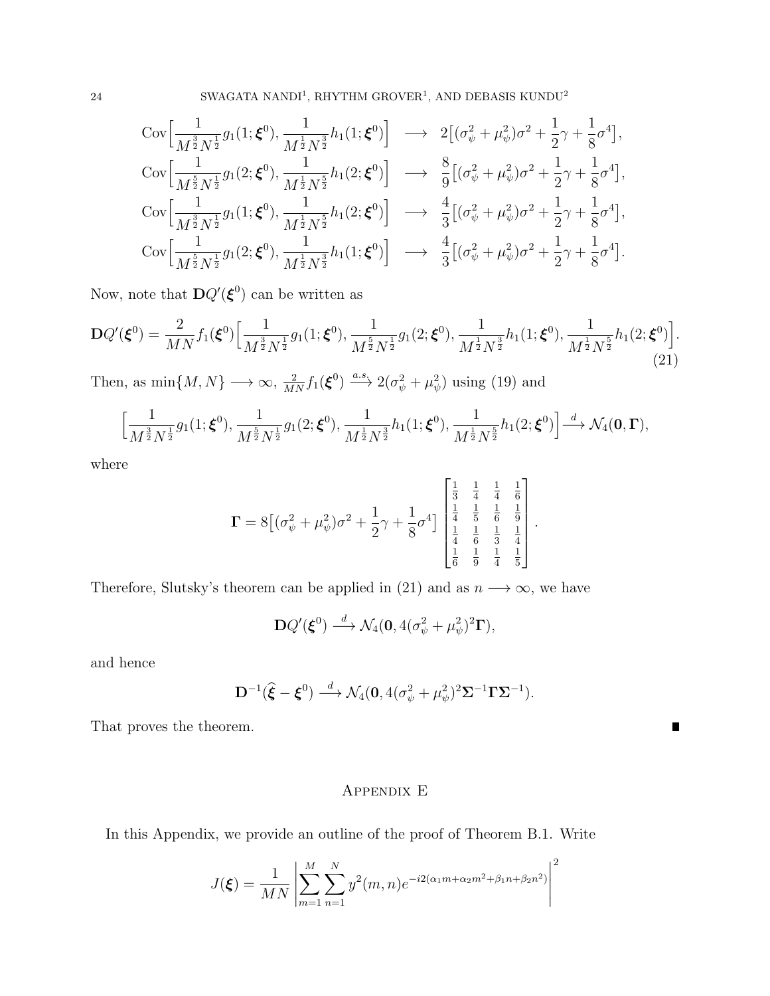24 SWAGATA NANDI<sup>1</sup>, RHYTHM GROVER<sup>1</sup>, AND DEBASIS KUNDU<sup>2</sup>

$$
\begin{split}\n&\text{Cov}\Big[\frac{1}{M^{\frac{3}{2}}N^{\frac{1}{2}}}g_{1}(1;\boldsymbol{\xi}^{0}),\frac{1}{M^{\frac{1}{2}}N^{\frac{3}{2}}}h_{1}(1;\boldsymbol{\xi}^{0})\Big] \longrightarrow 2\Big[(\sigma_{\psi}^{2}+\mu_{\psi}^{2})\sigma^{2}+\frac{1}{2}\gamma+\frac{1}{8}\sigma^{4}\Big], \\
&\text{Cov}\Big[\frac{1}{M^{\frac{5}{2}}N^{\frac{1}{2}}}g_{1}(2;\boldsymbol{\xi}^{0}),\frac{1}{M^{\frac{1}{2}}N^{\frac{5}{2}}}h_{1}(2;\boldsymbol{\xi}^{0})\Big] \longrightarrow \frac{8}{9}\Big[(\sigma_{\psi}^{2}+\mu_{\psi}^{2})\sigma^{2}+\frac{1}{2}\gamma+\frac{1}{8}\sigma^{4}\Big], \\
&\text{Cov}\Big[\frac{1}{M^{\frac{3}{2}}N^{\frac{1}{2}}}g_{1}(1;\boldsymbol{\xi}^{0}),\frac{1}{M^{\frac{1}{2}}N^{\frac{5}{2}}}h_{1}(2;\boldsymbol{\xi}^{0})\Big] \longrightarrow \frac{4}{3}\Big[(\sigma_{\psi}^{2}+\mu_{\psi}^{2})\sigma^{2}+\frac{1}{2}\gamma+\frac{1}{8}\sigma^{4}\Big], \\
&\text{Cov}\Big[\frac{1}{M^{\frac{5}{2}}N^{\frac{1}{2}}}g_{1}(2;\boldsymbol{\xi}^{0}),\frac{1}{M^{\frac{1}{2}}N^{\frac{3}{2}}}h_{1}(1;\boldsymbol{\xi}^{0})\Big] \longrightarrow \frac{4}{3}\Big[(\sigma_{\psi}^{2}+\mu_{\psi}^{2})\sigma^{2}+\frac{1}{2}\gamma+\frac{1}{8}\sigma^{4}\Big].\n\end{split}
$$

Now, note that  $\mathbf{D}Q'(\boldsymbol{\xi}^0)$  can be written as

$$
\mathbf{D}Q'(\boldsymbol{\xi}^{0}) = \frac{2}{MN} f_1(\boldsymbol{\xi}^{0}) \Big[ \frac{1}{M^{\frac{3}{2}} N^{\frac{1}{2}}} g_1(1; \boldsymbol{\xi}^{0}), \frac{1}{M^{\frac{5}{2}} N^{\frac{1}{2}}} g_1(2; \boldsymbol{\xi}^{0}), \frac{1}{M^{\frac{1}{2}} N^{\frac{3}{2}}} h_1(1; \boldsymbol{\xi}^{0}), \frac{1}{M^{\frac{1}{2}} N^{\frac{5}{2}}} h_1(2; \boldsymbol{\xi}^{0}) \Big].
$$
\n(21)

Then, as  $\min\{M, N\} \longrightarrow \infty$ ,  $\frac{2}{MN} f_1(\boldsymbol{\xi}^0) \stackrel{a.s.}{\longrightarrow} 2(\sigma_{\psi}^2 + \mu_{\psi}^2)$  using (19) and

$$
\left[\frac{1}{M^{\frac{3}{2}}N^{\frac{1}{2}}}g_1(1;\boldsymbol{\xi}^0),\frac{1}{M^{\frac{5}{2}}N^{\frac{1}{2}}}g_1(2;\boldsymbol{\xi}^0),\frac{1}{M^{\frac{1}{2}}N^{\frac{3}{2}}}h_1(1;\boldsymbol{\xi}^0),\frac{1}{M^{\frac{1}{2}}N^{\frac{5}{2}}}h_1(2;\boldsymbol{\xi}^0)\right] \stackrel{d}{\longrightarrow} \mathcal{N}_4(\mathbf{0},\boldsymbol{\Gamma}),
$$

where

$$
\Gamma = 8\left[ (\sigma_{\psi}^2 + \mu_{\psi}^2)\sigma^2 + \frac{1}{2}\gamma + \frac{1}{8}\sigma^4 \right] \begin{bmatrix} \frac{1}{3} & \frac{1}{4} & \frac{1}{4} & \frac{1}{6} \\ \frac{1}{4} & \frac{1}{5} & \frac{1}{6} & \frac{1}{9} \\ \frac{1}{4} & \frac{1}{6} & \frac{1}{3} & \frac{1}{4} \\ \frac{1}{6} & \frac{1}{9} & \frac{1}{4} & \frac{1}{5} \end{bmatrix}.
$$

Therefore, Slutsky's theorem can be applied in (21) and as  $n \longrightarrow \infty$ , we have

$$
\mathbf{D}Q'(\boldsymbol{\xi}^0) \stackrel{d}{\longrightarrow} \mathcal{N}_4(\mathbf{0}, 4(\sigma_{\psi}^2 + \mu_{\psi}^2)^2 \mathbf{\Gamma}),
$$

and hence

$$
\mathbf{D}^{-1}(\widehat{\boldsymbol{\xi}}-\boldsymbol{\xi}^0)\stackrel{d}{\longrightarrow}\mathcal{N}_4(\mathbf{0},4(\sigma_{\psi}^2+\mu_{\psi}^2)^2\boldsymbol{\Sigma}^{-1}\boldsymbol{\Gamma}\boldsymbol{\Sigma}^{-1}).
$$

 $\blacksquare$ 

That proves the theorem.

# Appendix E

In this Appendix, we provide an outline of the proof of Theorem B.1. Write

$$
J(\boldsymbol{\xi}) = \frac{1}{MN} \left| \sum_{m=1}^{M} \sum_{n=1}^{N} y^2(m, n) e^{-i2(\alpha_1 m + \alpha_2 m^2 + \beta_1 n + \beta_2 n^2)} \right|^2
$$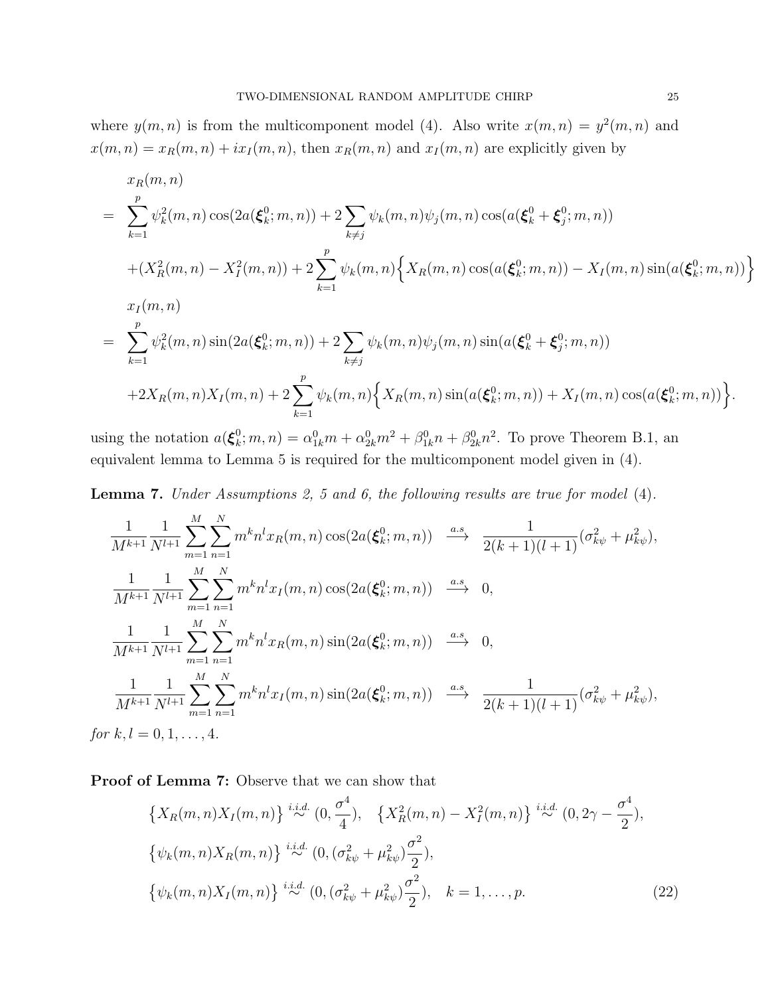where  $y(m, n)$  is from the multicomponent model (4). Also write  $x(m, n) = y^2(m, n)$  and  $x(m, n) = x_R(m, n) + ix_I(m, n)$ , then  $x_R(m, n)$  and  $x_I(m, n)$  are explicitly given by

$$
x_{R}(m, n)
$$
\n
$$
= \sum_{k=1}^{p} \psi_{k}^{2}(m, n) \cos(2a(\xi_{k}^{0}; m, n)) + 2 \sum_{k \neq j} \psi_{k}(m, n) \psi_{j}(m, n) \cos(a(\xi_{k}^{0} + \xi_{j}^{0}; m, n))
$$
\n
$$
+ (X_{R}^{2}(m, n) - X_{I}^{2}(m, n)) + 2 \sum_{k=1}^{p} \psi_{k}(m, n) \left\{ X_{R}(m, n) \cos(a(\xi_{k}^{0}; m, n)) - X_{I}(m, n) \sin(a(\xi_{k}^{0}; m, n)) \right\}
$$
\n
$$
x_{I}(m, n)
$$
\n
$$
= \sum_{k=1}^{p} \psi_{k}^{2}(m, n) \sin(2a(\xi_{k}^{0}; m, n)) + 2 \sum_{k \neq j} \psi_{k}(m, n) \psi_{j}(m, n) \sin(a(\xi_{k}^{0} + \xi_{j}^{0}; m, n))
$$
\n
$$
+ 2X_{R}(m, n) X_{I}(m, n) + 2 \sum_{k=1}^{p} \psi_{k}(m, n) \left\{ X_{R}(m, n) \sin(a(\xi_{k}^{0}; m, n)) + X_{I}(m, n) \cos(a(\xi_{k}^{0}; m, n)) \right\}.
$$

using the notation  $a(\boldsymbol{\xi}_k^0)$  $k_k^0; m, n) = \alpha_{1k}^0 m + \alpha_{2k}^0 m^2 + \beta_{1k}^0 n + \beta_{2k}^0 n^2$ . To prove Theorem B.1, an equivalent lemma to Lemma 5 is required for the multicomponent model given in (4).

Lemma 7. Under Assumptions 2, 5 and 6, the following results are true for model (4).

$$
\frac{1}{M^{k+1}} \frac{1}{N^{l+1}} \sum_{m=1}^{M} \sum_{n=1}^{N} m^{k} n^{l} x_{R}(m, n) \cos(2a(\xi_{k}^{0}; m, n)) \xrightarrow{a.s} \frac{1}{2(k+1)(l+1)} (\sigma_{k\psi}^{2} + \mu_{k\psi}^{2}),
$$
\n
$$
\frac{1}{M^{k+1}} \frac{1}{N^{l+1}} \sum_{m=1}^{M} \sum_{n=1}^{N} m^{k} n^{l} x_{I}(m, n) \cos(2a(\xi_{k}^{0}; m, n)) \xrightarrow{a.s} 0,
$$
\n
$$
\frac{1}{M^{k+1}} \frac{1}{N^{l+1}} \sum_{m=1}^{M} \sum_{n=1}^{N} m^{k} n^{l} x_{R}(m, n) \sin(2a(\xi_{k}^{0}; m, n)) \xrightarrow{a.s} 0,
$$
\n
$$
\frac{1}{M^{k+1}} \frac{1}{N^{l+1}} \sum_{m=1}^{M} \sum_{n=1}^{N} m^{k} n^{l} x_{I}(m, n) \sin(2a(\xi_{k}^{0}; m, n)) \xrightarrow{a.s} \frac{1}{2(k+1)(l+1)} (\sigma_{k\psi}^{2} + \mu_{k\psi}^{2}),
$$
\n
$$
k, l = 0, 1, \dots, 4
$$

for  $k, l = 0, 1, ..., 4$ .

Proof of Lemma 7: Observe that we can show that

$$
\{X_R(m,n)X_I(m,n)\} \stackrel{i.i.d.}{\sim} (0, \frac{\sigma^4}{4}), \quad \{X_R^2(m,n) - X_I^2(m,n)\} \stackrel{i.i.d.}{\sim} (0, 2\gamma - \frac{\sigma^4}{2}),
$$
  

$$
\{\psi_k(m,n)X_R(m,n)\} \stackrel{i.i.d.}{\sim} (0, (\sigma_{k\psi}^2 + \mu_{k\psi}^2) \frac{\sigma^2}{2}),
$$
  

$$
\{\psi_k(m,n)X_I(m,n)\} \stackrel{i.i.d.}{\sim} (0, (\sigma_{k\psi}^2 + \mu_{k\psi}^2) \frac{\sigma^2}{2}), \quad k = 1, ..., p.
$$
 (22)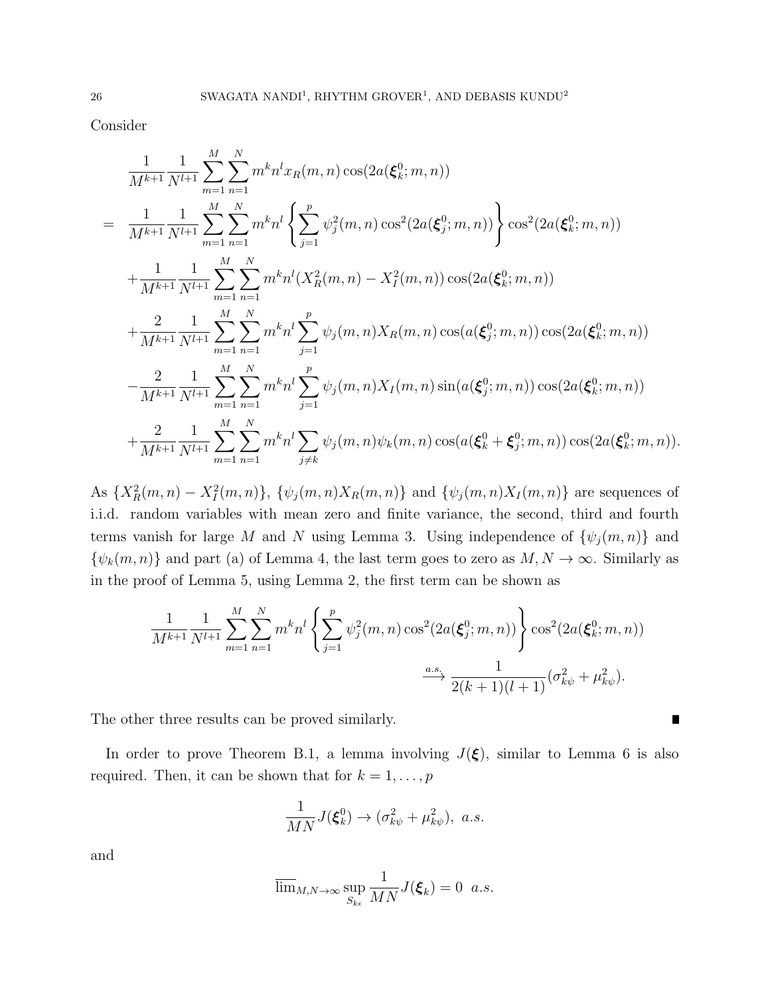Consider

$$
\frac{1}{M^{k+1}} \frac{1}{N^{l+1}} \sum_{m=1}^{M} \sum_{n=1}^{N} m^{k} n^{l} x_{R}(m, n) \cos(2a(\xi_{k}^{0}; m, n))
$$
\n
$$
= \frac{1}{M^{k+1}} \frac{1}{N^{l+1}} \sum_{m=1}^{M} \sum_{n=1}^{N} m^{k} n^{l} \left\{ \sum_{j=1}^{p} \psi_{j}^{2}(m, n) \cos^{2}(2a(\xi_{j}^{0}; m, n)) \right\} \cos^{2}(2a(\xi_{k}^{0}; m, n))
$$
\n
$$
+ \frac{1}{M^{k+1}} \frac{1}{N^{l+1}} \sum_{m=1}^{M} \sum_{n=1}^{N} m^{k} n^{l} (X_{R}^{2}(m, n) - X_{I}^{2}(m, n)) \cos(2a(\xi_{k}^{0}; m, n))
$$
\n
$$
+ \frac{2}{M^{k+1}} \frac{1}{N^{l+1}} \sum_{m=1}^{M} \sum_{n=1}^{N} m^{k} n^{l} \sum_{j=1}^{p} \psi_{j}(m, n) X_{R}(m, n) \cos(a(\xi_{j}^{0}; m, n)) \cos(2a(\xi_{k}^{0}; m, n))
$$
\n
$$
- \frac{2}{M^{k+1}} \frac{1}{N^{l+1}} \sum_{m=1}^{M} \sum_{n=1}^{N} m^{k} n^{l} \sum_{j=1}^{p} \psi_{j}(m, n) X_{I}(m, n) \sin(a(\xi_{j}^{0}; m, n)) \cos(2a(\xi_{k}^{0}; m, n))
$$
\n
$$
+ \frac{2}{M^{k+1}} \frac{1}{N^{l+1}} \sum_{m=1}^{M} \sum_{n=1}^{N} m^{k} n^{l} \sum_{j \neq k} \psi_{j}(m, n) \psi_{k}(m, n) \cos(a(\xi_{k}^{0} + \xi_{j}^{0}; m, n)) \cos(2a(\xi_{k}^{0}; m, n)).
$$

As  ${X_R^2(m,n) - X_I^2(m,n)}, \{\psi_j(m,n)X_R(m,n)\}\$  and  ${\psi_j(m,n)X_I(m,n)}\$  are sequences of i.i.d. random variables with mean zero and finite variance, the second, third and fourth terms vanish for large M and N using Lemma 3. Using independence of  $\{\psi_j(m,n)\}\$ and  $\{\psi_k(m,n)\}\$  and part (a) of Lemma 4, the last term goes to zero as  $M, N \to \infty$ . Similarly as in the proof of Lemma 5, using Lemma 2, the first term can be shown as

$$
\frac{1}{M^{k+1}} \frac{1}{N^{l+1}} \sum_{m=1}^{M} \sum_{n=1}^{N} m^k n^l \left\{ \sum_{j=1}^{p} \psi_j^2(m, n) \cos^2(2a(\xi_j^0; m, n)) \right\} \cos^2(2a(\xi_k^0; m, n)) + \frac{a.s}{2(k+1)(l+1)} (\sigma_{k\psi}^2 + \mu_{k\psi}^2).
$$

П

The other three results can be proved similarly.

In order to prove Theorem B.1, a lemma involving  $J(\xi)$ , similar to Lemma 6 is also required. Then, it can be shown that for  $k = 1, \ldots, p$ 

$$
\frac{1}{MN}J(\xi_k^0) \to (\sigma_{k\psi}^2 + \mu_{k\psi}^2), \ a.s.
$$

and

$$
\overline{\lim}_{M,N\to\infty} \sup_{S_{k\epsilon}} \frac{1}{MN} J(\boldsymbol{\xi}_k) = 0 \ \ a.s.
$$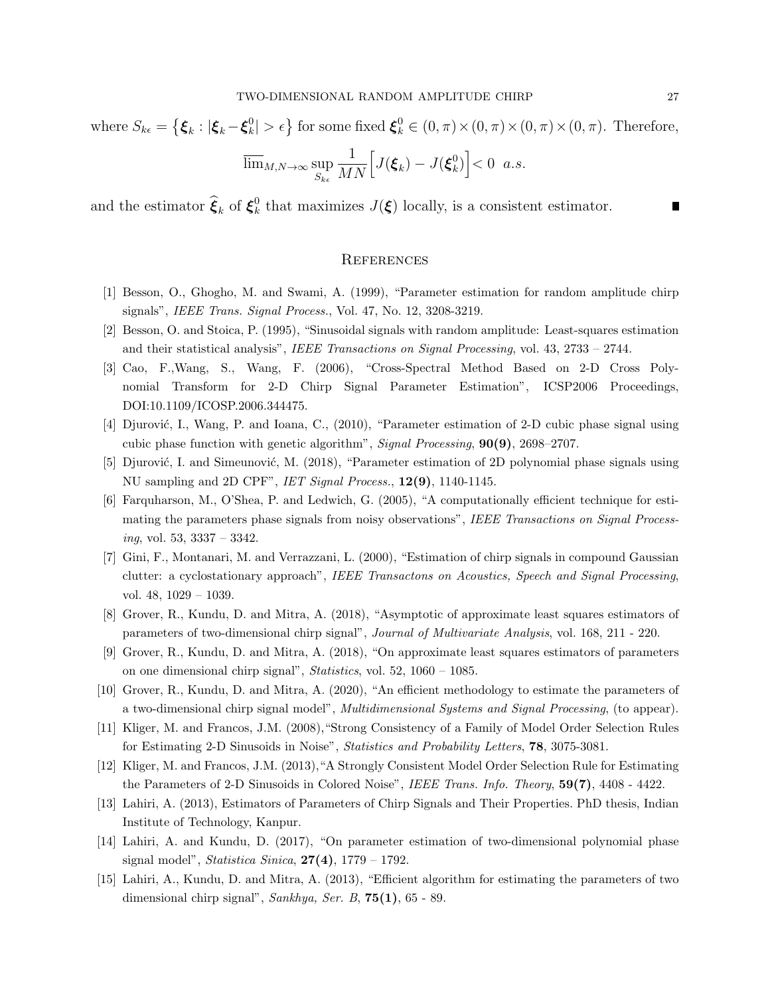where  $S_{k\epsilon}=\left\{\boldsymbol{\xi}_{k}:\vert\boldsymbol{\xi}_{k}-\boldsymbol{\xi}_{k}^{0}\right\}$  $\{\xi_k^0\} > \epsilon\}$  for some fixed  $\xi_k^0 \in (0, \pi) \times (0, \pi) \times (0, \pi) \times (0, \pi)$ . Therefore,

$$
\overline{\lim}_{M,N\to\infty} \sup_{S_{k\epsilon}} \frac{1}{MN} \Big[ J(\boldsymbol{\xi}_k) - J(\boldsymbol{\xi}_k^0) \Big] < 0 \ \ a.s.
$$

and the estimator  $\widehat{\boldsymbol{\xi}}_k$  of  $\boldsymbol{\xi}_k^0$ <sup>0</sup><sub>k</sub> that maximizes  $J(\xi)$  locally, is a consistent estimator.

#### **REFERENCES**

- [1] Besson, O., Ghogho, M. and Swami, A. (1999), "Parameter estimation for random amplitude chirp signals", IEEE Trans. Signal Process., Vol. 47, No. 12, 3208-3219.
- [2] Besson, O. and Stoica, P. (1995), "Sinusoidal signals with random amplitude: Least-squares estimation and their statistical analysis", IEEE Transactions on Signal Processing, vol. 43, 2733 – 2744.
- [3] Cao, F.,Wang, S., Wang, F. (2006), "Cross-Spectral Method Based on 2-D Cross Polynomial Transform for 2-D Chirp Signal Parameter Estimation", ICSP2006 Proceedings, DOI:10.1109/ICOSP.2006.344475.
- [4] Djurović, I., Wang, P. and Ioana, C., (2010), "Parameter estimation of 2-D cubic phase signal using cubic phase function with genetic algorithm", Signal Processing, 90(9), 2698–2707.
- [5] Djurović, I. and Simeunović, M. (2018), "Parameter estimation of 2D polynomial phase signals using NU sampling and 2D CPF", IET Signal Process., 12(9), 1140-1145.
- [6] Farquharson, M., O'Shea, P. and Ledwich, G. (2005), "A computationally efficient technique for estimating the parameters phase signals from noisy observations", IEEE Transactions on Signal Process $ing, vol. 53, 3337 - 3342.$
- [7] Gini, F., Montanari, M. and Verrazzani, L. (2000), "Estimation of chirp signals in compound Gaussian clutter: a cyclostationary approach", IEEE Transactons on Acoustics, Speech and Signal Processing, vol. 48, 1029 – 1039.
- [8] Grover, R., Kundu, D. and Mitra, A. (2018), "Asymptotic of approximate least squares estimators of parameters of two-dimensional chirp signal", Journal of Multivariate Analysis, vol. 168, 211 - 220.
- [9] Grover, R., Kundu, D. and Mitra, A. (2018), "On approximate least squares estimators of parameters on one dimensional chirp signal", Statistics, vol. 52, 1060 – 1085.
- [10] Grover, R., Kundu, D. and Mitra, A. (2020), "An efficient methodology to estimate the parameters of a two-dimensional chirp signal model", Multidimensional Systems and Signal Processing, (to appear).
- [11] Kliger, M. and Francos, J.M. (2008),"Strong Consistency of a Family of Model Order Selection Rules for Estimating 2-D Sinusoids in Noise", Statistics and Probability Letters, 78, 3075-3081.
- [12] Kliger, M. and Francos, J.M. (2013),"A Strongly Consistent Model Order Selection Rule for Estimating the Parameters of 2-D Sinusoids in Colored Noise", IEEE Trans. Info. Theory, 59(7), 4408 - 4422.
- [13] Lahiri, A. (2013), Estimators of Parameters of Chirp Signals and Their Properties. PhD thesis, Indian Institute of Technology, Kanpur.
- [14] Lahiri, A. and Kundu, D. (2017), "On parameter estimation of two-dimensional polynomial phase signal model", Statistica Sinica,  $27(4)$ , 1779 – 1792.
- [15] Lahiri, A., Kundu, D. and Mitra, A. (2013), "Efficient algorithm for estimating the parameters of two dimensional chirp signal", Sankhya, Ser. B,  $75(1)$ , 65 - 89.